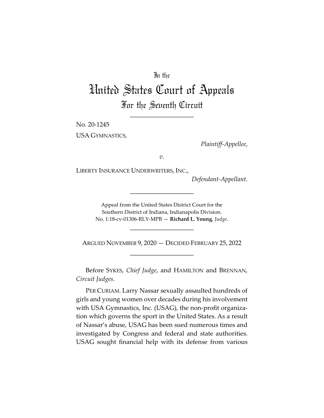## In the

# United States Court of Appeals For the Seventh Circuit

\_\_\_\_\_\_\_\_\_\_\_\_\_\_\_\_\_\_\_\_

No. 20-1245

USA GYMNASTICS,

*Plaintiff-Appellee*,

*v.*

LIBERTY INSURANCE UNDERWRITERS, INC.,

*Defendant-Appellant*.

Appeal from the United States District Court for the Southern District of Indiana, Indianapolis Division. No. 1:18-cv-01306-RLY-MPB — **Richard L. Young**, *Judge*.

\_\_\_\_\_\_\_\_\_\_\_\_\_\_\_\_\_\_\_\_

\_\_\_\_\_\_\_\_\_\_\_\_\_\_\_\_\_\_\_\_

ARGUED NOVEMBER 9, 2020 — DECIDED FEBRUARY 25, 2022 \_\_\_\_\_\_\_\_\_\_\_\_\_\_\_\_\_\_\_\_

Before SYKES, *Chief Judge*, and HAMILTON and BRENNAN, *Circuit Judges*.

PER CURIAM. Larry Nassar sexually assaulted hundreds of girls and young women over decades during his involvement with USA Gymnastics, Inc. (USAG), the non-profit organization which governs the sport in the United States. As a result of Nassar's abuse, USAG has been sued numerous times and investigated by Congress and federal and state authorities. USAG sought financial help with its defense from various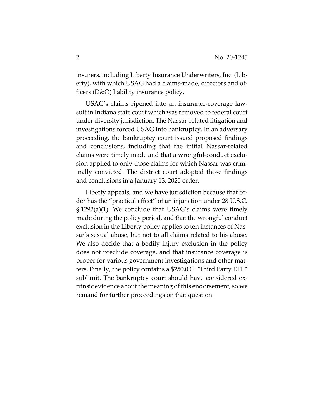insurers, including Liberty Insurance Underwriters, Inc. (Liberty), with which USAG had a claims-made, directors and officers (D&O) liability insurance policy.

USAG's claims ripened into an insurance-coverage lawsuit in Indiana state court which was removed to federal court under diversity jurisdiction. The Nassar-related litigation and investigations forced USAG into bankruptcy. In an adversary proceeding, the bankruptcy court issued proposed findings and conclusions, including that the initial Nassar-related claims were timely made and that a wrongful-conduct exclusion applied to only those claims for which Nassar was criminally convicted. The district court adopted those findings and conclusions in a January 13, 2020 order.

Liberty appeals, and we have jurisdiction because that order has the "practical effect" of an injunction under 28 U.S.C. § 1292(a)(1). We conclude that USAG's claims were timely made during the policy period, and that the wrongful conduct exclusion in the Liberty policy applies to ten instances of Nassar's sexual abuse, but not to all claims related to his abuse. We also decide that a bodily injury exclusion in the policy does not preclude coverage, and that insurance coverage is proper for various government investigations and other matters. Finally, the policy contains a \$250,000 "Third Party EPL" sublimit. The bankruptcy court should have considered extrinsic evidence about the meaning of this endorsement, so we remand for further proceedings on that question.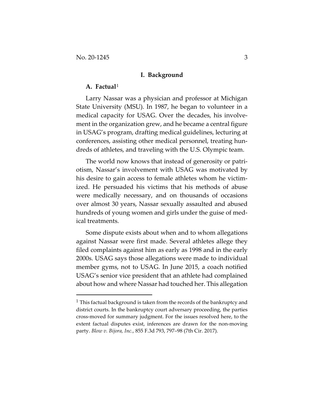#### **I. Background**

### **A. Factual**<sup>1</sup>

Larry Nassar was a physician and professor at Michigan State University (MSU). In 1987, he began to volunteer in a medical capacity for USAG. Over the decades, his involvement in the organization grew, and he became a central figure in USAG's program, drafting medical guidelines, lecturing at conferences, assisting other medical personnel, treating hundreds of athletes, and traveling with the U.S. Olympic team.

The world now knows that instead of generosity or patriotism, Nassar's involvement with USAG was motivated by his desire to gain access to female athletes whom he victimized. He persuaded his victims that his methods of abuse were medically necessary, and on thousands of occasions over almost 30 years, Nassar sexually assaulted and abused hundreds of young women and girls under the guise of medical treatments.

Some dispute exists about when and to whom allegations against Nassar were first made. Several athletes allege they filed complaints against him as early as 1998 and in the early 2000s. USAG says those allegations were made to individual member gyms, not to USAG. In June 2015, a coach notified USAG's senior vice president that an athlete had complained about how and where Nassar had touched her. This allegation

 $1$  This factual background is taken from the records of the bankruptcy and district courts. In the bankruptcy court adversary proceeding, the parties cross-moved for summary judgment. For the issues resolved here, to the extent factual disputes exist, inferences are drawn for the non-moving party. *Blow v. Bijora, Inc.*, 855 F.3d 793, 797–98 (7th Cir. 2017).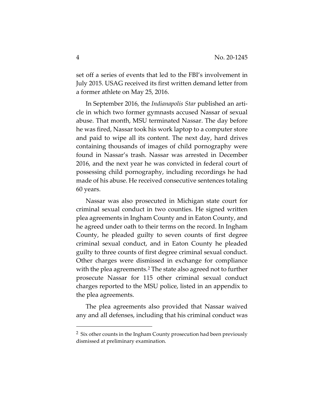set off a series of events that led to the FBI's involvement in July 2015. USAG received its first written demand letter from a former athlete on May 25, 2016.

In September 2016, the *Indianapolis Star* published an article in which two former gymnasts accused Nassar of sexual abuse. That month, MSU terminated Nassar. The day before he was fired, Nassar took his work laptop to a computer store and paid to wipe all its content. The next day, hard drives containing thousands of images of child pornography were found in Nassar's trash. Nassar was arrested in December 2016, and the next year he was convicted in federal court of possessing child pornography, including recordings he had made of his abuse. He received consecutive sentences totaling 60 years.

Nassar was also prosecuted in Michigan state court for criminal sexual conduct in two counties. He signed written plea agreements in Ingham County and in Eaton County, and he agreed under oath to their terms on the record. In Ingham County, he pleaded guilty to seven counts of first degree criminal sexual conduct, and in Eaton County he pleaded guilty to three counts of first degree criminal sexual conduct. Other charges were dismissed in exchange for compliance with the plea agreements.<sup>2</sup> The state also agreed not to further prosecute Nassar for 115 other criminal sexual conduct charges reported to the MSU police, listed in an appendix to the plea agreements.

The plea agreements also provided that Nassar waived any and all defenses, including that his criminal conduct was

<sup>&</sup>lt;sup>2</sup> Six other counts in the Ingham County prosecution had been previously dismissed at preliminary examination.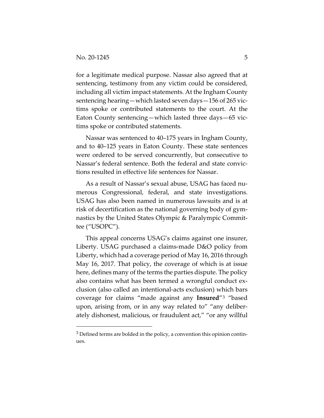for a legitimate medical purpose. Nassar also agreed that at sentencing, testimony from any victim could be considered, including all victim impact statements. At the Ingham County sentencing hearing—which lasted seven days—156 of 265 victims spoke or contributed statements to the court. At the Eaton County sentencing—which lasted three days—65 victims spoke or contributed statements.

Nassar was sentenced to 40–175 years in Ingham County, and to 40–125 years in Eaton County. These state sentences were ordered to be served concurrently, but consecutive to Nassar's federal sentence. Both the federal and state convictions resulted in effective life sentences for Nassar.

As a result of Nassar's sexual abuse, USAG has faced numerous Congressional, federal, and state investigations. USAG has also been named in numerous lawsuits and is at risk of decertification as the national governing body of gymnastics by the United States Olympic & Paralympic Committee ("USOPC").

This appeal concerns USAG's claims against one insurer, Liberty. USAG purchased a claims-made D&O policy from Liberty, which had a coverage period of May 16, 2016 through May 16, 2017. That policy, the coverage of which is at issue here, defines many of the terms the parties dispute. The policy also contains what has been termed a wrongful conduct exclusion (also called an intentional-acts exclusion) which bars coverage for claims "made against any **Insured**"3 "based upon, arising from, or in any way related to" "any deliberately dishonest, malicious, or fraudulent act," "or any willful

 $3$  Defined terms are bolded in the policy, a convention this opinion continues.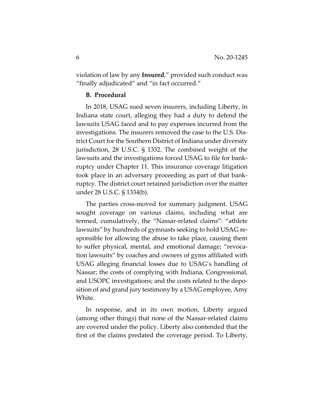violation of law by any **Insured**," provided such conduct was "finally adjudicated" and "in fact occurred."

## **B. Procedural**

In 2018, USAG sued seven insurers, including Liberty, in Indiana state court, alleging they had a duty to defend the lawsuits USAG faced and to pay expenses incurred from the investigations. The insurers removed the case to the U.S. District Court for the Southern District of Indiana under diversity jurisdiction, 28 U.S.C. § 1332. The combined weight of the lawsuits and the investigations forced USAG to file for bankruptcy under Chapter 11. This insurance coverage litigation took place in an adversary proceeding as part of that bankruptcy. The district court retained jurisdiction over the matter under 28 U.S.C. § 1334(b).

The parties cross-moved for summary judgment. USAG sought coverage on various claims, including what are termed, cumulatively, the "Nassar-related claims": "athlete lawsuits" by hundreds of gymnasts seeking to hold USAG responsible for allowing the abuse to take place, causing them to suffer physical, mental, and emotional damage; "revocation lawsuits" by coaches and owners of gyms affiliated with USAG alleging financial losses due to USAG's handling of Nassar; the costs of complying with Indiana, Congressional, and USOPC investigations; and the costs related to the deposition of and grand jury testimony by a USAG employee, Amy White.

In response, and in its own motion, Liberty argued (among other things) that none of the Nassar-related claims are covered under the policy. Liberty also contended that the first of the claims predated the coverage period. To Liberty,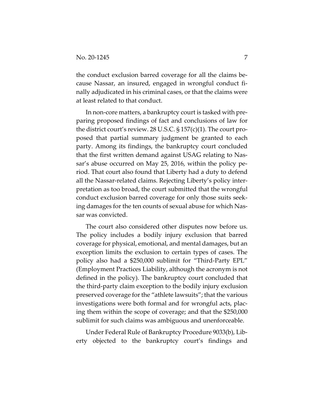the conduct exclusion barred coverage for all the claims because Nassar, an insured, engaged in wrongful conduct finally adjudicated in his criminal cases, or that the claims were at least related to that conduct.

In non-core matters, a bankruptcy court is tasked with preparing proposed findings of fact and conclusions of law for the district court's review. 28 U.S.C.  $\S 157(c)(1)$ . The court proposed that partial summary judgment be granted to each party. Among its findings, the bankruptcy court concluded that the first written demand against USAG relating to Nassar's abuse occurred on May 25, 2016, within the policy period. That court also found that Liberty had a duty to defend all the Nassar-related claims. Rejecting Liberty's policy interpretation as too broad, the court submitted that the wrongful conduct exclusion barred coverage for only those suits seeking damages for the ten counts of sexual abuse for which Nassar was convicted.

The court also considered other disputes now before us. The policy includes a bodily injury exclusion that barred coverage for physical, emotional, and mental damages, but an exception limits the exclusion to certain types of cases. The policy also had a \$250,000 sublimit for "Third-Party EPL" (Employment Practices Liability, although the acronym is not defined in the policy). The bankruptcy court concluded that the third-party claim exception to the bodily injury exclusion preserved coverage for the "athlete lawsuits"; that the various investigations were both formal and for wrongful acts, placing them within the scope of coverage; and that the \$250,000 sublimit for such claims was ambiguous and unenforceable.

Under Federal Rule of Bankruptcy Procedure 9033(b), Liberty objected to the bankruptcy court's findings and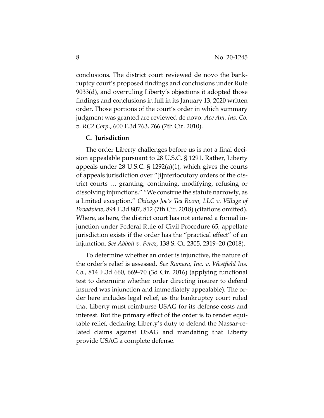conclusions. The district court reviewed de novo the bankruptcy court's proposed findings and conclusions under Rule 9033(d), and overruling Liberty's objections it adopted those findings and conclusions in full in its January 13, 2020 written order. Those portions of the court's order in which summary judgment was granted are reviewed de novo. *Ace Am. Ins. Co. v. RC2 Corp.*, 600 F.3d 763, 766 (7th Cir. 2010).

## **C. Jurisdiction**

The order Liberty challenges before us is not a final decision appealable pursuant to 28 U.S.C. § 1291. Rather, Liberty appeals under 28 U.S.C. § 1292(a)(1), which gives the courts of appeals jurisdiction over "[i]nterlocutory orders of the district courts … granting, continuing, modifying, refusing or dissolving injunctions." "We construe the statute narrowly, as a limited exception." *Chicago Joe's Tea Room, LLC v. Village of Broadview*, 894 F.3d 807, 812 (7th Cir. 2018) (citations omitted). Where, as here, the district court has not entered a formal injunction under Federal Rule of Civil Procedure 65, appellate jurisdiction exists if the order has the "practical effect" of an injunction. *See Abbott v. Perez*, 138 S. Ct. 2305, 2319–20 (2018).

To determine whether an order is injunctive, the nature of the order's relief is assessed. *See Ramara, Inc. v. Westfield Ins. Co.*, 814 F.3d 660, 669–70 (3d Cir. 2016) (applying functional test to determine whether order directing insurer to defend insured was injunction and immediately appealable). The order here includes legal relief, as the bankruptcy court ruled that Liberty must reimburse USAG for its defense costs and interest. But the primary effect of the order is to render equitable relief, declaring Liberty's duty to defend the Nassar-related claims against USAG and mandating that Liberty provide USAG a complete defense.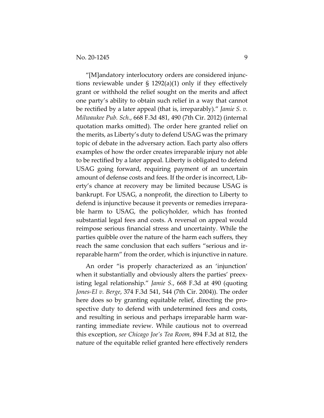"[M]andatory interlocutory orders are considered injunctions reviewable under § 1292(a)(1) only if they effectively grant or withhold the relief sought on the merits and affect one party's ability to obtain such relief in a way that cannot be rectified by a later appeal (that is, irreparably)." *Jamie S. v. Milwaukee Pub. Sch.*, 668 F.3d 481, 490 (7th Cir. 2012) (internal quotation marks omitted). The order here granted relief on the merits, as Liberty's duty to defend USAG was the primary topic of debate in the adversary action. Each party also offers examples of how the order creates irreparable injury not able to be rectified by a later appeal. Liberty is obligated to defend USAG going forward, requiring payment of an uncertain amount of defense costs and fees. If the order is incorrect, Liberty's chance at recovery may be limited because USAG is bankrupt. For USAG, a nonprofit, the direction to Liberty to defend is injunctive because it prevents or remedies irreparable harm to USAG, the policyholder, which has fronted substantial legal fees and costs. A reversal on appeal would reimpose serious financial stress and uncertainty. While the parties quibble over the nature of the harm each suffers, they reach the same conclusion that each suffers "serious and irreparable harm" from the order, which is injunctive in nature.

An order "is properly characterized as an 'injunction' when it substantially and obviously alters the parties' preexisting legal relationship." *Jamie S.*, 668 F.3d at 490 (quoting *Jones-El v. Berge*, 374 F.3d 541, 544 (7th Cir. 2004)). The order here does so by granting equitable relief, directing the prospective duty to defend with undetermined fees and costs, and resulting in serious and perhaps irreparable harm warranting immediate review. While cautious not to overread this exception, *see Chicago Joe's Tea Room*, 894 F.3d at 812, the nature of the equitable relief granted here effectively renders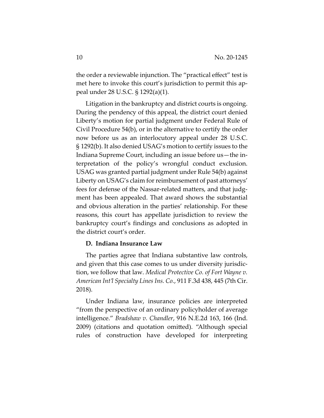the order a reviewable injunction. The "practical effect" test is met here to invoke this court's jurisdiction to permit this appeal under 28 U.S.C. § 1292(a)(1).

Litigation in the bankruptcy and district courts is ongoing. During the pendency of this appeal, the district court denied Liberty's motion for partial judgment under Federal Rule of Civil Procedure 54(b), or in the alternative to certify the order now before us as an interlocutory appeal under 28 U.S.C. § 1292(b). It also denied USAG's motion to certify issues to the Indiana Supreme Court, including an issue before us—the interpretation of the policy's wrongful conduct exclusion. USAG was granted partial judgment under Rule 54(b) against Liberty on USAG's claim for reimbursement of past attorneys' fees for defense of the Nassar-related matters, and that judgment has been appealed. That award shows the substantial and obvious alteration in the parties' relationship. For these reasons, this court has appellate jurisdiction to review the bankruptcy court's findings and conclusions as adopted in the district court's order.

## **D. Indiana Insurance Law**

The parties agree that Indiana substantive law controls, and given that this case comes to us under diversity jurisdiction, we follow that law. *Medical Protective Co. of Fort Wayne v. American Int'l Specialty Lines Ins. Co.*, 911 F.3d 438, 445 (7th Cir. 2018).

Under Indiana law, insurance policies are interpreted "from the perspective of an ordinary policyholder of average intelligence." *Bradshaw v. Chandler*, 916 N.E.2d 163, 166 (Ind. 2009) (citations and quotation omitted). "Although special rules of construction have developed for interpreting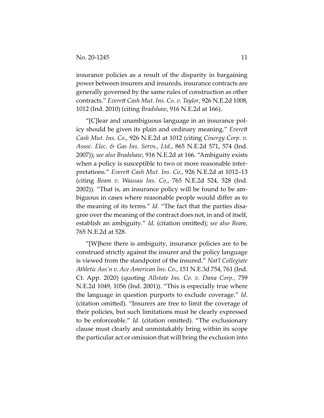insurance policies as a result of the disparity in bargaining power between insurers and insureds, insurance contracts are generally governed by the same rules of construction as other contracts." *Everett Cash Mut. Ins. Co. v. Taylor*, 926 N.E.2d 1008, 1012 (Ind. 2010) (citing *Bradshaw*, 916 N.E.2d at 166).

"[C]lear and unambiguous language in an insurance policy should be given its plain and ordinary meaning." *Everett Cash Mut. Ins. Co.*, 926 N.E.2d at 1012 (citing *Cinergy Corp. v. Assoc. Elec. & Gas Ins. Servs., Ltd.*, 865 N.E.2d 571, 574 (Ind. 2007)); *see also Bradshaw*, 916 N.E.2d at 166. "Ambiguity exists when a policy is susceptible to two or more reasonable interpretations." *Everett Cash Mut. Ins. Co.*, 926 N.E.2d at 1012–13 (citing *Beam v. Wausau Ins. Co.*, 765 N.E.2d 524, 528 (Ind. 2002)). "That is, an insurance policy will be found to be ambiguous in cases where reasonable people would differ as to the meaning of its terms." *Id.* "The fact that the parties disagree over the meaning of the contract does not, in and of itself, establish an ambiguity." *Id*. (citation omitted); *see also Beam*, 765 N.E.2d at 528.

"[W]here there is ambiguity, insurance policies are to be construed strictly against the insurer and the policy language is viewed from the standpoint of the insured." *Nat'l Collegiate Athletic Ass'n v. Ace American Ins. Co.*, 151 N.E.3d 754, 761 (Ind. Ct. App. 2020) (quoting *Allstate Ins. Co. v. Dana Corp.*, 759 N.E.2d 1049, 1056 (Ind. 2001)). "This is especially true where the language in question purports to exclude coverage." *Id*. (citation omitted). "Insurers are free to limit the coverage of their policies, but such limitations must be clearly expressed to be enforceable." *Id.* (citation omitted). "The exclusionary clause must clearly and unmistakably bring within its scope the particular act or omission that will bring the exclusion into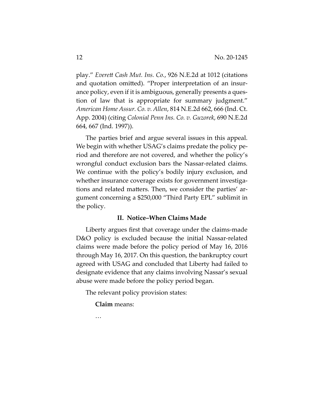play." *Everett Cash Mut. Ins. Co.*, 926 N.E.2d at 1012 (citations and quotation omitted). "Proper interpretation of an insurance policy, even if it is ambiguous, generally presents a question of law that is appropriate for summary judgment." *American Home Assur. Co. v. Allen*, 814 N.E.2d 662, 666 (Ind. Ct. App. 2004) (citing *Colonial Penn Ins. Co. v. Guzorek*, 690 N.E.2d 664, 667 (Ind. 1997)).

The parties brief and argue several issues in this appeal. We begin with whether USAG's claims predate the policy period and therefore are not covered, and whether the policy's wrongful conduct exclusion bars the Nassar-related claims. We continue with the policy's bodily injury exclusion, and whether insurance coverage exists for government investigations and related matters. Then, we consider the parties' argument concerning a \$250,000 "Third Party EPL" sublimit in the policy.

## **II. Notice–When Claims Made**

Liberty argues first that coverage under the claims-made D&O policy is excluded because the initial Nassar-related claims were made before the policy period of May 16, 2016 through May 16, 2017. On this question, the bankruptcy court agreed with USAG and concluded that Liberty had failed to designate evidence that any claims involving Nassar's sexual abuse were made before the policy period began.

The relevant policy provision states:

**Claim** means:

…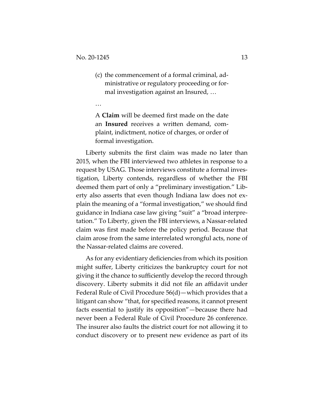…

(c) the commencement of a formal criminal, administrative or regulatory proceeding or formal investigation against an Insured, …

A **Claim** will be deemed first made on the date an **Insured** receives a written demand, complaint, indictment, notice of charges, or order of formal investigation.

Liberty submits the first claim was made no later than 2015, when the FBI interviewed two athletes in response to a request by USAG. Those interviews constitute a formal investigation, Liberty contends, regardless of whether the FBI deemed them part of only a "preliminary investigation." Liberty also asserts that even though Indiana law does not explain the meaning of a "formal investigation," we should find guidance in Indiana case law giving "suit" a "broad interpretation." To Liberty, given the FBI interviews, a Nassar-related claim was first made before the policy period. Because that claim arose from the same interrelated wrongful acts, none of the Nassar-related claims are covered.

As for any evidentiary deficiencies from which its position might suffer, Liberty criticizes the bankruptcy court for not giving it the chance to sufficiently develop the record through discovery. Liberty submits it did not file an affidavit under Federal Rule of Civil Procedure 56(d)—which provides that a litigant can show "that, for specified reasons, it cannot present facts essential to justify its opposition"—because there had never been a Federal Rule of Civil Procedure 26 conference. The insurer also faults the district court for not allowing it to conduct discovery or to present new evidence as part of its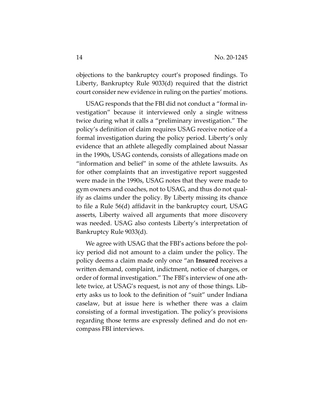objections to the bankruptcy court's proposed findings. To Liberty, Bankruptcy Rule 9033(d) required that the district court consider new evidence in ruling on the parties' motions.

USAG responds that the FBI did not conduct a "formal investigation" because it interviewed only a single witness twice during what it calls a "preliminary investigation." The policy's definition of claim requires USAG receive notice of a formal investigation during the policy period. Liberty's only evidence that an athlete allegedly complained about Nassar in the 1990s, USAG contends, consists of allegations made on "information and belief" in some of the athlete lawsuits. As for other complaints that an investigative report suggested were made in the 1990s, USAG notes that they were made to gym owners and coaches, not to USAG, and thus do not qualify as claims under the policy. By Liberty missing its chance to file a Rule 56(d) affidavit in the bankruptcy court, USAG asserts, Liberty waived all arguments that more discovery was needed. USAG also contests Liberty's interpretation of Bankruptcy Rule 9033(d).

We agree with USAG that the FBI's actions before the policy period did not amount to a claim under the policy. The policy deems a claim made only once "an **Insured** receives a written demand, complaint, indictment, notice of charges, or order of formal investigation." The FBI's interview of one athlete twice, at USAG's request, is not any of those things. Liberty asks us to look to the definition of "suit" under Indiana caselaw, but at issue here is whether there was a claim consisting of a formal investigation. The policy's provisions regarding those terms are expressly defined and do not encompass FBI interviews.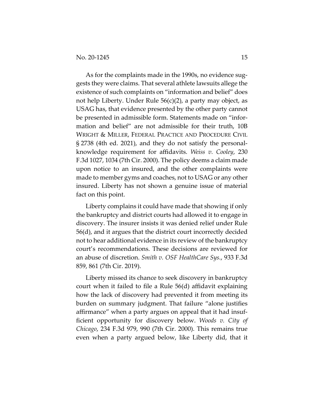As for the complaints made in the 1990s, no evidence suggests they were claims. That several athlete lawsuits allege the existence of such complaints on "information and belief" does not help Liberty. Under Rule 56(c)(2), a party may object, as USAG has, that evidence presented by the other party cannot be presented in admissible form. Statements made on "information and belief" are not admissible for their truth, 10B WRIGHT & MILLER, FEDERAL PRACTICE AND PROCEDURE CIVIL § 2738 (4th ed. 2021), and they do not satisfy the personalknowledge requirement for affidavits. *Weiss v. Cooley*, 230 F.3d 1027, 1034 (7th Cir. 2000). The policy deems a claim made upon notice to an insured, and the other complaints were made to member gyms and coaches, not to USAG or any other insured. Liberty has not shown a genuine issue of material fact on this point.

Liberty complains it could have made that showing if only the bankruptcy and district courts had allowed it to engage in discovery. The insurer insists it was denied relief under Rule 56(d), and it argues that the district court incorrectly decided not to hear additional evidence in its review of the bankruptcy court's recommendations. These decisions are reviewed for an abuse of discretion. *Smith v. OSF HealthCare Sys.*, 933 F.3d 859, 861 (7th Cir. 2019).

Liberty missed its chance to seek discovery in bankruptcy court when it failed to file a Rule 56(d) affidavit explaining how the lack of discovery had prevented it from meeting its burden on summary judgment. That failure "alone justifies affirmance" when a party argues on appeal that it had insufficient opportunity for discovery below. *Woods v. City of Chicago*, 234 F.3d 979, 990 (7th Cir. 2000). This remains true even when a party argued below, like Liberty did, that it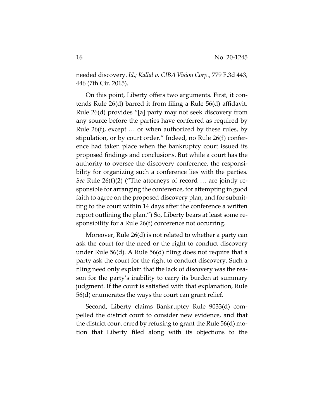needed discovery. *Id.; Kallal v. CIBA Vision Corp.*, 779 F.3d 443, 446 (7th Cir. 2015).

On this point, Liberty offers two arguments. First, it contends Rule 26(d) barred it from filing a Rule 56(d) affidavit. Rule 26(d) provides "[a] party may not seek discovery from any source before the parties have conferred as required by Rule 26(f), except … or when authorized by these rules, by stipulation, or by court order." Indeed, no Rule 26(f) conference had taken place when the bankruptcy court issued its proposed findings and conclusions. But while a court has the authority to oversee the discovery conference, the responsibility for organizing such a conference lies with the parties. *See* Rule 26(f)(2) ("The attorneys of record … are jointly responsible for arranging the conference, for attempting in good faith to agree on the proposed discovery plan, and for submitting to the court within 14 days after the conference a written report outlining the plan.") So, Liberty bears at least some responsibility for a Rule 26(f) conference not occurring.

Moreover, Rule 26(d) is not related to whether a party can ask the court for the need or the right to conduct discovery under Rule 56(d). A Rule 56(d) filing does not require that a party ask the court for the right to conduct discovery. Such a filing need only explain that the lack of discovery was the reason for the party's inability to carry its burden at summary judgment. If the court is satisfied with that explanation, Rule 56(d) enumerates the ways the court can grant relief.

Second, Liberty claims Bankruptcy Rule 9033(d) compelled the district court to consider new evidence, and that the district court erred by refusing to grant the Rule 56(d) motion that Liberty filed along with its objections to the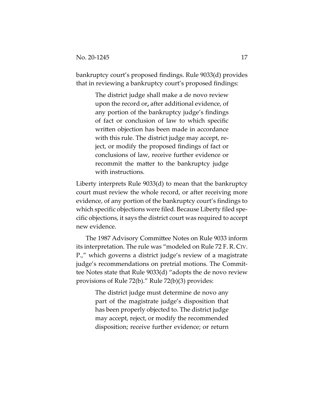bankruptcy court's proposed findings. Rule 9033(d) provides that in reviewing a bankruptcy court's proposed findings:

> The district judge shall make a de novo review upon the record or**,** after additional evidence, of any portion of the bankruptcy judge's findings of fact or conclusion of law to which specific written objection has been made in accordance with this rule. The district judge may accept, reject, or modify the proposed findings of fact or conclusions of law, receive further evidence or recommit the matter to the bankruptcy judge with instructions.

Liberty interprets Rule 9033(d) to mean that the bankruptcy court must review the whole record, or after receiving more evidence, of any portion of the bankruptcy court's findings to which specific objections were filed. Because Liberty filed specific objections, it says the district court was required to accept new evidence.

The 1987 Advisory Committee Notes on Rule 9033 inform its interpretation. The rule was "modeled on Rule 72 F. R. CIV. P.," which governs a district judge's review of a magistrate judge's recommendations on pretrial motions. The Committee Notes state that Rule 9033(d) "adopts the de novo review provisions of Rule 72(b)." Rule 72(b)(3) provides:

> The district judge must determine de novo any part of the magistrate judge's disposition that has been properly objected to. The district judge may accept, reject, or modify the recommended disposition; receive further evidence; or return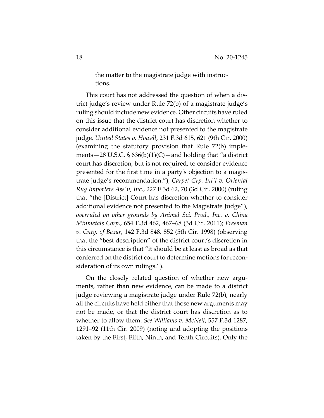the matter to the magistrate judge with instructions.

This court has not addressed the question of when a district judge's review under Rule 72(b) of a magistrate judge's ruling should include new evidence. Other circuits have ruled on this issue that the district court has discretion whether to consider additional evidence not presented to the magistrate judge. *United States v. Howell*, 231 F.3d 615, 621 (9th Cir. 2000) (examining the statutory provision that Rule 72(b) implements—28 U.S.C.  $\S$  636(b)(1)(C)—and holding that "a district court has discretion, but is not required, to consider evidence presented for the first time in a party's objection to a magistrate judge's recommendation."); *Carpet Grp. Int'l v. Oriental Rug Importers Ass'n, Inc.*, 227 F.3d 62, 70 (3d Cir. 2000) (ruling that "the [District] Court has discretion whether to consider additional evidence not presented to the Magistrate Judge"), *overruled on other grounds by Animal Sci. Prod., Inc. v. China Minmetals Corp.*, 654 F.3d 462, 467–68 (3d Cir. 2011); *Freeman v. Cnty. of Bexar*, 142 F.3d 848, 852 (5th Cir. 1998) (observing that the "best description" of the district court's discretion in this circumstance is that "it should be at least as broad as that conferred on the district court to determine motions for reconsideration of its own rulings.").

On the closely related question of whether new arguments, rather than new evidence, can be made to a district judge reviewing a magistrate judge under Rule 72(b), nearly all the circuits have held either that those new arguments may not be made, or that the district court has discretion as to whether to allow them. *See Williams v. McNeil*, 557 F.3d 1287, 1291–92 (11th Cir. 2009) (noting and adopting the positions taken by the First, Fifth, Ninth, and Tenth Circuits). Only the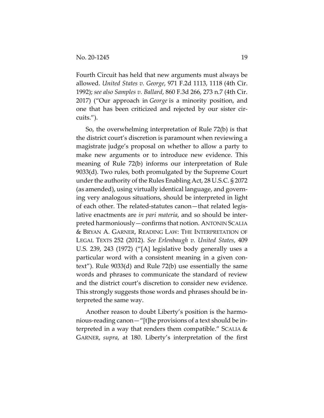Fourth Circuit has held that new arguments must always be allowed. *United States v. George*, 971 F.2d 1113, 1118 (4th Cir. 1992); *see also Samples v. Ballard*, 860 F.3d 266, 273 n.7 (4th Cir. 2017) ("Our approach in *George* is a minority position, and one that has been criticized and rejected by our sister circuits.").

So, the overwhelming interpretation of Rule 72(b) is that the district court's discretion is paramount when reviewing a magistrate judge's proposal on whether to allow a party to make new arguments or to introduce new evidence. This meaning of Rule 72(b) informs our interpretation of Rule 9033(d). Two rules, both promulgated by the Supreme Court under the authority of the Rules Enabling Act, 28 U.S.C. § 2072 (as amended), using virtually identical language, and governing very analogous situations, should be interpreted in light of each other. The related-statutes canon—that related legislative enactments are *in pari materia*, and so should be interpreted harmoniously—confirms that notion. ANTONIN SCALIA & BRYAN A. GARNER, READING LAW: THE INTERPRETATION OF LEGAL TEXTS 252 (2012). *See Erlenbaugh v. United States*, 409 U.S. 239, 243 (1972) ("[A] legislative body generally uses a particular word with a consistent meaning in a given context"). Rule 9033(d) and Rule 72(b) use essentially the same words and phrases to communicate the standard of review and the district court's discretion to consider new evidence. This strongly suggests those words and phrases should be interpreted the same way.

Another reason to doubt Liberty's position is the harmonious-reading canon—"[t]he provisions of a text should be interpreted in a way that renders them compatible." SCALIA & GARNER, *supra*, at 180. Liberty's interpretation of the first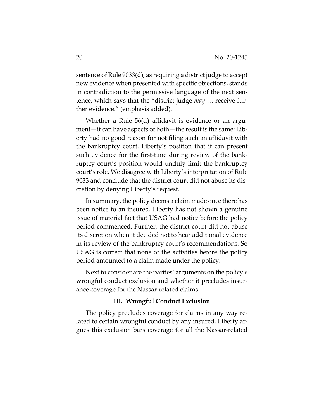sentence of Rule 9033(d), as requiring a district judge to accept new evidence when presented with specific objections, stands in contradiction to the permissive language of the next sentence, which says that the "district judge *may* … receive further evidence." (emphasis added).

Whether a Rule 56(d) affidavit is evidence or an argument—it can have aspects of both—the result is the same: Liberty had no good reason for not filing such an affidavit with the bankruptcy court. Liberty's position that it can present such evidence for the first-time during review of the bankruptcy court's position would unduly limit the bankruptcy court's role. We disagree with Liberty's interpretation of Rule 9033 and conclude that the district court did not abuse its discretion by denying Liberty's request.

In summary, the policy deems a claim made once there has been notice to an insured. Liberty has not shown a genuine issue of material fact that USAG had notice before the policy period commenced. Further, the district court did not abuse its discretion when it decided not to hear additional evidence in its review of the bankruptcy court's recommendations. So USAG is correct that none of the activities before the policy period amounted to a claim made under the policy.

Next to consider are the parties' arguments on the policy's wrongful conduct exclusion and whether it precludes insurance coverage for the Nassar-related claims.

#### **III. Wrongful Conduct Exclusion**

The policy precludes coverage for claims in any way related to certain wrongful conduct by any insured. Liberty argues this exclusion bars coverage for all the Nassar-related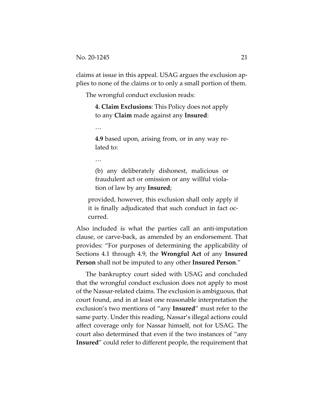claims at issue in this appeal. USAG argues the exclusion applies to none of the claims or to only a small portion of them.

The wrongful conduct exclusion reads:

**4. Claim Exclusions**: This Policy does not apply to any **Claim** made against any **Insured**:

…

**4.9** based upon, arising from, or in any way related to:

…

(b) any deliberately dishonest, malicious or fraudulent act or omission or any willful violation of law by any **Insured**;

provided, however, this exclusion shall only apply if it is finally adjudicated that such conduct in fact occurred.

Also included is what the parties call an anti-imputation clause, or carve-back, as amended by an endorsement. That provides: "For purposes of determining the applicability of Sections 4.1 through 4.9, the **Wrongful Act** of any **Insured Person** shall not be imputed to any other **Insured Person**."

The bankruptcy court sided with USAG and concluded that the wrongful conduct exclusion does not apply to most of the Nassar-related claims. The exclusion is ambiguous, that court found, and in at least one reasonable interpretation the exclusion's two mentions of "any **Insured**" must refer to the same party. Under this reading, Nassar's illegal actions could affect coverage only for Nassar himself, not for USAG. The court also determined that even if the two instances of "any **Insured**" could refer to different people, the requirement that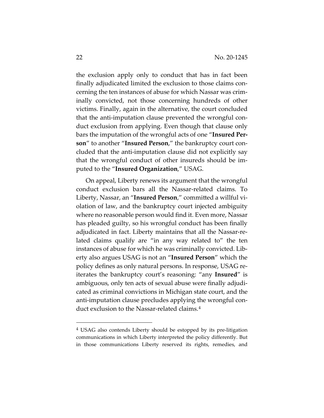the exclusion apply only to conduct that has in fact been finally adjudicated limited the exclusion to those claims concerning the ten instances of abuse for which Nassar was criminally convicted, not those concerning hundreds of other victims. Finally, again in the alternative, the court concluded that the anti-imputation clause prevented the wrongful conduct exclusion from applying. Even though that clause only bars the imputation of the wrongful acts of one "**Insured Person**" to another "**Insured Person**," the bankruptcy court concluded that the anti-imputation clause did not explicitly say that the wrongful conduct of other insureds should be imputed to the "**Insured Organization**," USAG.

On appeal, Liberty renews its argument that the wrongful conduct exclusion bars all the Nassar-related claims. To Liberty, Nassar, an "**Insured Person**," committed a willful violation of law, and the bankruptcy court injected ambiguity where no reasonable person would find it. Even more, Nassar has pleaded guilty, so his wrongful conduct has been finally adjudicated in fact. Liberty maintains that all the Nassar-related claims qualify are "in any way related to" the ten instances of abuse for which he was criminally convicted. Liberty also argues USAG is not an "**Insured Person**" which the policy defines as only natural persons. In response, USAG reiterates the bankruptcy court's reasoning: "any **Insured**" is ambiguous, only ten acts of sexual abuse were finally adjudicated as criminal convictions in Michigan state court, and the anti-imputation clause precludes applying the wrongful conduct exclusion to the Nassar-related claims.4

<sup>&</sup>lt;sup>4</sup> USAG also contends Liberty should be estopped by its pre-litigation communications in which Liberty interpreted the policy differently. But in those communications Liberty reserved its rights, remedies, and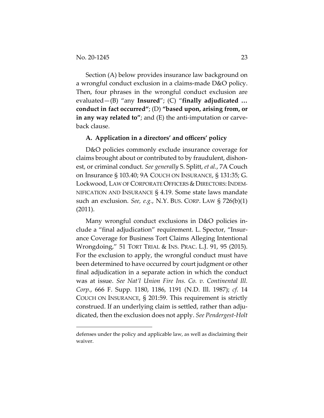Section (A) below provides insurance law background on a wrongful conduct exclusion in a claims-made D&O policy. Then, four phrases in the wrongful conduct exclusion are evaluated—(B) "any **Insured**"; (C) "**finally adjudicated … conduct in fact occurred"**; (D) **"based upon, arising from, or in any way related to"**; and (E) the anti-imputation or carveback clause.

#### **A. Application in a directors' and officers' policy**

D&O policies commonly exclude insurance coverage for claims brought about or contributed to by fraudulent, dishonest, or criminal conduct. *See generally* S. Splitt, *et al.*, 7A Couch on Insurance § 103.40; 9A COUCH ON INSURANCE, § 131:35; G. Lockwood, LAW OF CORPORATE OFFICERS & DIRECTORS: INDEM-NIFICATION AND INSURANCE § 4.19. Some state laws mandate such an exclusion. *See, e.g.*, N.Y. BUS. CORP. LAW § 726(b)(1) (2011).

Many wrongful conduct exclusions in D&O policies include a "final adjudication" requirement. L. Spector, "Insurance Coverage for Business Tort Claims Alleging Intentional Wrongdoing," 51 TORT TRIAL & INS. PRAC. L.J. 91, 95 (2015). For the exclusion to apply, the wrongful conduct must have been determined to have occurred by court judgment or other final adjudication in a separate action in which the conduct was at issue. *See Nat'l Union Fire Ins. Co. v. Continental Ill. Corp.*, 666 F. Supp. 1180, 1186, 1191 (N.D. Ill. 1987); *cf.* 14 COUCH ON INSURANCE, § 201:59. This requirement is strictly construed. If an underlying claim is settled, rather than adjudicated, then the exclusion does not apply. *See Pendergest-Holt* 

defenses under the policy and applicable law, as well as disclaiming their waiver.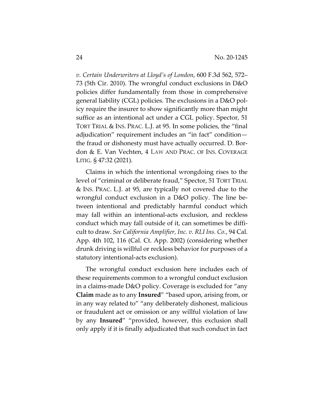*v. Certain Underwriters at Lloyd's of London*, 600 F.3d 562, 572– 73 (5th Cir. 2010). The wrongful conduct exclusions in D&O policies differ fundamentally from those in comprehensive general liability (CGL) policies. The exclusions in a D&O policy require the insurer to show significantly more than might suffice as an intentional act under a CGL policy. Spector, 51 TORT TRIAL & INS. PRAC. L.J. at 95. In some policies, the "final adjudication" requirement includes an "in fact" condition the fraud or dishonesty must have actually occurred. D. Bordon & E. Van Vechten, 4 LAW AND PRAC. OF INS. COVERAGE LITIG. § 47:32 (2021).

Claims in which the intentional wrongdoing rises to the level of "criminal or deliberate fraud," Spector, 51 TORT TRIAL & INS. PRAC. L.J. at 95, are typically not covered due to the wrongful conduct exclusion in a D&O policy. The line between intentional and predictably harmful conduct which may fall within an intentional-acts exclusion, and reckless conduct which may fall outside of it, can sometimes be difficult to draw. *See California Amplifier, Inc. v. RLI Ins. Co.*, 94 Cal. App. 4th 102, 116 (Cal. Ct. App. 2002) (considering whether drunk driving is willful or reckless behavior for purposes of a statutory intentional-acts exclusion).

The wrongful conduct exclusion here includes each of these requirements common to a wrongful conduct exclusion in a claims-made D&O policy. Coverage is excluded for "any **Claim** made as to any **Insured**" "based upon, arising from, or in any way related to" "any deliberately dishonest, malicious or fraudulent act or omission or any willful violation of law by any **Insured**" "provided, however, this exclusion shall only apply if it is finally adjudicated that such conduct in fact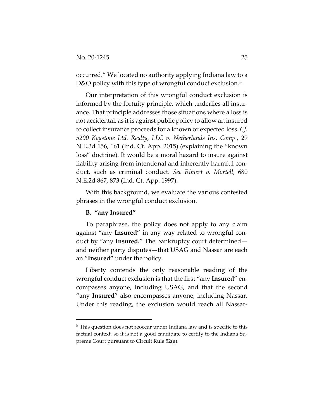occurred." We located no authority applying Indiana law to a D&O policy with this type of wrongful conduct exclusion.<sup>5</sup>

Our interpretation of this wrongful conduct exclusion is informed by the fortuity principle, which underlies all insurance. That principle addresses those situations where a loss is not accidental, as it is against public policy to allow an insured to collect insurance proceeds for a known or expected loss. *Cf. 5200 Keystone Ltd. Realty, LLC v. Netherlands Ins. Comp.*, 29 N.E.3d 156, 161 (Ind. Ct. App. 2015) (explaining the "known loss" doctrine). It would be a moral hazard to insure against liability arising from intentional and inherently harmful conduct, such as criminal conduct. *See Rimert v. Mortell*, 680 N.E.2d 867, 873 (Ind. Ct. App. 1997).

With this background, we evaluate the various contested phrases in the wrongful conduct exclusion.

## **B. "any Insured"**

To paraphrase, the policy does not apply to any claim against "any **Insured**" in any way related to wrongful conduct by "any **Insured.**" The bankruptcy court determined and neither party disputes—that USAG and Nassar are each an "**Insured"** under the policy.

Liberty contends the only reasonable reading of the wrongful conduct exclusion is that the first "any **Insured**" encompasses anyone, including USAG, and that the second "any **Insured**" also encompasses anyone, including Nassar. Under this reading, the exclusion would reach all Nassar-

<sup>5</sup> This question does not reoccur under Indiana law and is specific to this factual context, so it is not a good candidate to certify to the Indiana Supreme Court pursuant to Circuit Rule 52(a).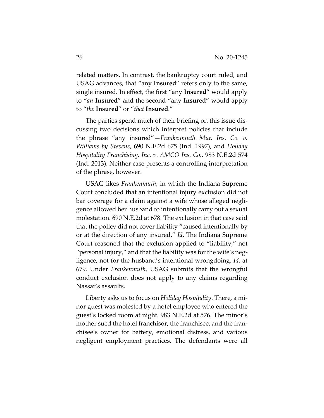related matters. In contrast, the bankruptcy court ruled, and USAG advances, that "any **Insured**" refers only to the same, single insured. In effect, the first "any **Insured**" would apply to "*an* **Insured**" and the second "any **Insured**" would apply to "*the* **Insured**" or "*that* **Insured**."

The parties spend much of their briefing on this issue discussing two decisions which interpret policies that include the phrase "any insured"—*Frankenmuth Mut. Ins. Co. v. Williams by Stevens*, 690 N.E.2d 675 (Ind. 1997), and *Holiday Hospitality Franchising, Inc. v. AMCO Ins. Co.*, 983 N.E.2d 574 (Ind. 2013). Neither case presents a controlling interpretation of the phrase, however.

USAG likes *Frankenmuth*, in which the Indiana Supreme Court concluded that an intentional injury exclusion did not bar coverage for a claim against a wife whose alleged negligence allowed her husband to intentionally carry out a sexual molestation. 690 N.E.2d at 678*.* The exclusion in that case said that the policy did not cover liability "caused intentionally by or at the direction of any insured." *Id*. The Indiana Supreme Court reasoned that the exclusion applied to "liability," not "personal injury," and that the liability was for the wife's negligence, not for the husband's intentional wrongdoing. *Id*. at 679. Under *Frankenmuth*, USAG submits that the wrongful conduct exclusion does not apply to any claims regarding Nassar's assaults.

Liberty asks us to focus on *Holiday Hospitality*. There, a minor guest was molested by a hotel employee who entered the guest's locked room at night. 983 N.E.2d at 576. The minor's mother sued the hotel franchisor, the franchisee, and the franchisee's owner for battery, emotional distress, and various negligent employment practices. The defendants were all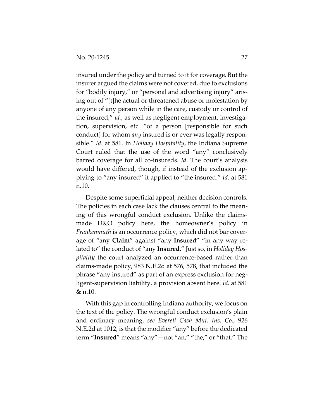insured under the policy and turned to it for coverage. But the insurer argued the claims were not covered, due to exclusions for "bodily injury," or "personal and advertising injury" arising out of "[t]he actual or threatened abuse or molestation by anyone of any person while in the care, custody or control of the insured," *id.*, as well as negligent employment, investigation, supervision, etc. "of a person [responsible for such conduct] for whom *any* insured is or ever was legally responsible." *Id.* at 581. In *Holiday Hospitality*, the Indiana Supreme Court ruled that the use of the word "any" conclusively barred coverage for all co-insureds. *Id*. The court's analysis would have differed, though, if instead of the exclusion applying to "any insured" it applied to "the insured." *Id*. at 581 n.10.

Despite some superficial appeal, neither decision controls. The policies in each case lack the clauses central to the meaning of this wrongful conduct exclusion. Unlike the claimsmade D&O policy here, the homeowner's policy in *Frankenmuth* is an occurrence policy, which did not bar coverage of "any **Claim**" against "any **Insured**" "in any way related to" the conduct of "any **Insured**." Just so, in *Holiday Hospitality* the court analyzed an occurrence-based rather than claims-made policy, 983 N.E.2d at 576, 578, that included the phrase "any insured" as part of an express exclusion for negligent-supervision liability, a provision absent here. *Id.* at 581 & n.10.

With this gap in controlling Indiana authority, we focus on the text of the policy. The wrongful conduct exclusion's plain and ordinary meaning, *see Everett Cash Mut. Ins. Co.*, 926 N.E.2d at 1012, is that the modifier "any" before the dedicated term "**Insured**" means "any"—not "an," "the," or "that." The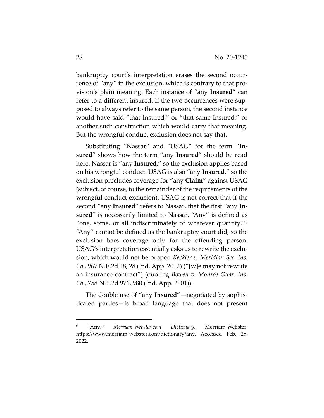bankruptcy court's interpretation erases the second occurrence of "any" in the exclusion, which is contrary to that provision's plain meaning. Each instance of "any **Insured**" can refer to a different insured. If the two occurrences were supposed to always refer to the same person, the second instance would have said "that Insured," or "that same Insured," or another such construction which would carry that meaning. But the wrongful conduct exclusion does not say that.

Substituting "Nassar" and "USAG" for the term "**Insured**" shows how the term "any **Insured**" should be read here. Nassar is "any **Insured**," so the exclusion applies based on his wrongful conduct. USAG is also "any **Insured**," so the exclusion precludes coverage for "any **Claim**" against USAG (subject, of course, to the remainder of the requirements of the wrongful conduct exclusion). USAG is not correct that if the second "any **Insured**" refers to Nassar, that the first "any **Insured**" is necessarily limited to Nassar. "Any" is defined as "one, some, or all indiscriminately of whatever quantity."<sup>6</sup> "Any" cannot be defined as the bankruptcy court did, so the exclusion bars coverage only for the offending person. USAG's interpretation essentially asks us to rewrite the exclusion, which would not be proper. *Keckler v. Meridian Sec. Ins. Co.*, 967 N.E.2d 18, 28 (Ind. App. 2012) ("[w]e may not rewrite an insurance contract") (quoting *Bowen v. Monroe Guar. Ins. Co.*, 758 N.E.2d 976, 980 (Ind. App. 2001)).

The double use of "any **Insured**"—negotiated by sophisticated parties—is broad language that does not present

<sup>6</sup> "Any." *Merriam-Webster.com Dictionary*, Merriam-Webster, https://www.merriam-webster.com/dictionary/any. Accessed Feb. 25, 2022.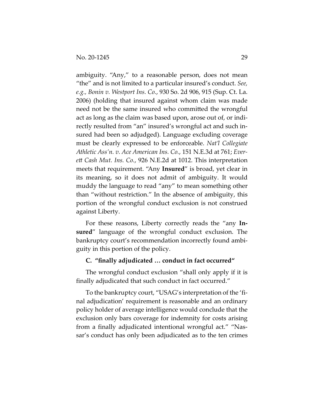ambiguity. "Any," to a reasonable person, does not mean "the" and is not limited to a particular insured's conduct. *See, e.g., Bonin v. Westport Ins. Co.*, 930 So. 2d 906, 915 (Sup. Ct. La. 2006) (holding that insured against whom claim was made need not be the same insured who committed the wrongful act as long as the claim was based upon, arose out of, or indirectly resulted from "an" insured's wrongful act and such insured had been so adjudged). Language excluding coverage must be clearly expressed to be enforceable. *Nat'l Collegiate Athletic Ass'n. v. Ace American Ins. Co.*, 151 N.E.3d at 761; *Everett Cash Mut. Ins. Co.*, 926 N.E.2d at 1012. This interpretation meets that requirement. "Any **Insured**" is broad, yet clear in its meaning, so it does not admit of ambiguity. It would muddy the language to read "any" to mean something other than "without restriction." In the absence of ambiguity, this portion of the wrongful conduct exclusion is not construed against Liberty.

For these reasons, Liberty correctly reads the "any **Insured**" language of the wrongful conduct exclusion. The bankruptcy court's recommendation incorrectly found ambiguity in this portion of the policy.

### **C. "finally adjudicated … conduct in fact occurred"**

The wrongful conduct exclusion "shall only apply if it is finally adjudicated that such conduct in fact occurred."

To the bankruptcy court, "USAG's interpretation of the 'final adjudication' requirement is reasonable and an ordinary policy holder of average intelligence would conclude that the exclusion only bars coverage for indemnity for costs arising from a finally adjudicated intentional wrongful act." "Nassar's conduct has only been adjudicated as to the ten crimes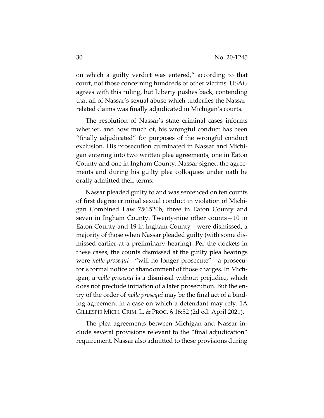on which a guilty verdict was entered," according to that court, not those concerning hundreds of other victims. USAG agrees with this ruling, but Liberty pushes back, contending that all of Nassar's sexual abuse which underlies the Nassarrelated claims was finally adjudicated in Michigan's courts.

The resolution of Nassar's state criminal cases informs whether, and how much of, his wrongful conduct has been "finally adjudicated" for purposes of the wrongful conduct exclusion. His prosecution culminated in Nassar and Michigan entering into two written plea agreements, one in Eaton County and one in Ingham County. Nassar signed the agreements and during his guilty plea colloquies under oath he orally admitted their terms.

Nassar pleaded guilty to and was sentenced on ten counts of first degree criminal sexual conduct in violation of Michigan Combined Law 750.520b, three in Eaton County and seven in Ingham County. Twenty-nine other counts—10 in Eaton County and 19 in Ingham County—were dismissed, a majority of those when Nassar pleaded guilty (with some dismissed earlier at a preliminary hearing). Per the dockets in these cases, the counts dismissed at the guilty plea hearings were *nolle prosequi*—"will no longer prosecute"—a prosecutor's formal notice of abandonment of those charges. In Michigan, a *nolle prosequi* is a dismissal without prejudice, which does not preclude initiation of a later prosecution. But the entry of the order of *nolle prosequi* may be the final act of a binding agreement in a case on which a defendant may rely. 1A GILLESPIE MICH. CRIM. L. & PROC. § 16:52 (2d ed. April 2021).

The plea agreements between Michigan and Nassar include several provisions relevant to the "final adjudication" requirement. Nassar also admitted to these provisions during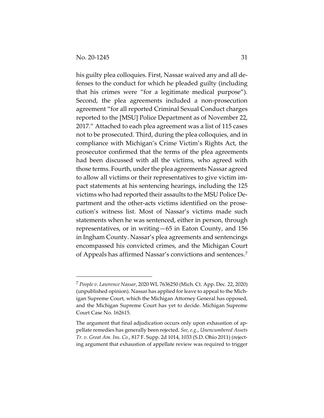his guilty plea colloquies. First, Nassar waived any and all defenses to the conduct for which he pleaded guilty (including that his crimes were "for a legitimate medical purpose"). Second, the plea agreements included a non-prosecution agreement "for all reported Criminal Sexual Conduct charges reported to the [MSU] Police Department as of November 22, 2017." Attached to each plea agreement was a list of 115 cases not to be prosecuted. Third, during the plea colloquies, and in compliance with Michigan's Crime Victim's Rights Act, the prosecutor confirmed that the terms of the plea agreements had been discussed with all the victims, who agreed with those terms. Fourth, under the plea agreements Nassar agreed to allow all victims or their representatives to give victim impact statements at his sentencing hearings, including the 125 victims who had reported their assaults to the MSU Police Department and the other-acts victims identified on the prosecution's witness list. Most of Nassar's victims made such statements when he was sentenced, either in person, through representatives, or in writing—65 in Eaton County, and 156 in Ingham County. Nassar's plea agreements and sentencings encompassed his convicted crimes, and the Michigan Court of Appeals has affirmed Nassar's convictions and sentences.7

<sup>7</sup> *People v. Lawrence Nassar*, 2020 WL 7636250 (Mich. Ct. App. Dec. 22, 2020) (unpublished opinion). Nassar has applied for leave to appeal to the Michigan Supreme Court, which the Michigan Attorney General has opposed, and the Michigan Supreme Court has yet to decide. Michigan Supreme Court Case No. 162615.

The argument that final adjudication occurs only upon exhaustion of appellate remedies has generally been rejected. *See, e.g.*, *Unencumbered Assets Tr. v. Great Am. Ins. Co.*, 817 F. Supp. 2d 1014, 1033 (S.D. Ohio 2011) (rejecting argument that exhaustion of appellate review was required to trigger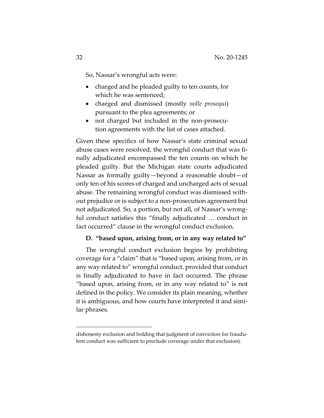So, Nassar's wrongful acts were:

- charged and he pleaded guilty to ten counts, for which he was sentenced;
- charged and dismissed (mostly *nolle prosequi*) pursuant to the plea agreements; or
- not charged but included in the non-prosecution agreements with the list of cases attached.

Given these specifics of how Nassar's state criminal sexual abuse cases were resolved, the wrongful conduct that was finally adjudicated encompassed the ten counts on which he pleaded guilty. But the Michigan state courts adjudicated Nassar as formally guilty—beyond a reasonable doubt—of only ten of his scores of charged and uncharged acts of sexual abuse. The remaining wrongful conduct was dismissed without prejudice or is subject to a non-prosecution agreement but not adjudicated. So, a portion, but not all, of Nassar's wrongful conduct satisfies this "finally adjudicated … conduct in fact occurred" clause in the wrongful conduct exclusion.

## **D. "based upon, arising from, or in any way related to"**

The wrongful conduct exclusion begins by prohibiting coverage for a "claim" that is "based upon, arising from, or in any way related to" wrongful conduct, provided that conduct is finally adjudicated to have in fact occurred. The phrase "based upon, arising from, or in any way related to" is not defined in the policy. We consider its plain meaning, whether it is ambiguous, and how courts have interpreted it and similar phrases.

dishonesty exclusion and holding that judgment of conviction for fraudulent conduct was sufficient to preclude coverage under that exclusion).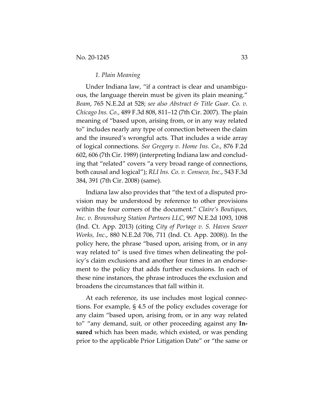#### *1. Plain Meaning*

Under Indiana law, "if a contract is clear and unambiguous, the language therein must be given its plain meaning." *Beam*, 765 N.E.2d at 528; *see also Abstract & Title Guar. Co. v. Chicago Ins. Co.*, 489 F.3d 808, 811–12 (7th Cir. 2007). The plain meaning of "based upon, arising from, or in any way related to" includes nearly any type of connection between the claim and the insured's wrongful acts. That includes a wide array of logical connections. *See Gregory v. Home Ins. Co.*, 876 F.2d 602, 606 (7th Cir. 1989) (interpreting Indiana law and concluding that "related" covers "a very broad range of connections, both causal and logical"); *RLI Ins. Co. v. Conseco, Inc.*, 543 F.3d 384, 391 (7th Cir. 2008) (same).

Indiana law also provides that "the text of a disputed provision may be understood by reference to other provisions within the four corners of the document." *Claire's Boutiques, Inc. v. Brownsburg Station Partners LLC*, 997 N.E.2d 1093, 1098 (Ind. Ct. App. 2013) (citing *City of Portage v. S. Haven Sewer Works, Inc.*, 880 N.E.2d 706, 711 (Ind. Ct. App. 2008)). In the policy here, the phrase "based upon, arising from, or in any way related to" is used five times when delineating the policy's claim exclusions and another four times in an endorsement to the policy that adds further exclusions. In each of these nine instances, the phrase introduces the exclusion and broadens the circumstances that fall within it.

At each reference, its use includes most logical connections. For example, § 4.5 of the policy excludes coverage for any claim "based upon, arising from, or in any way related to" "any demand, suit, or other proceeding against any **Insured** which has been made, which existed, or was pending prior to the applicable Prior Litigation Date" or "the same or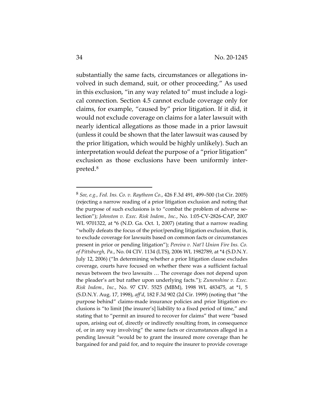substantially the same facts, circumstances or allegations involved in such demand, suit, or other proceeding." As used in this exclusion, "in any way related to" must include a logical connection. Section 4.5 cannot exclude coverage only for claims, for example, "caused by" prior litigation. If it did, it would not exclude coverage on claims for a later lawsuit with nearly identical allegations as those made in a prior lawsuit (unless it could be shown that the later lawsuit was caused by the prior litigation, which would be highly unlikely). Such an interpretation would defeat the purpose of a "prior litigation" exclusion as those exclusions have been uniformly interpreted.8

<sup>8</sup> *See, e.g., Fed. Ins. Co. v. Raytheon Co.*, 426 F.3d 491, 499–500 (1st Cir. 2005) (rejecting a narrow reading of a prior litigation exclusion and noting that the purpose of such exclusions is to "combat the problem of adverse selection"); *Johnston v. Exec. Risk Indem., Inc.*, No. 1:05-CV-2826-CAP, 2007 WL 9701322, at \*6 (N.D. Ga. Oct. 1, 2007) (stating that a narrow reading "wholly defeats the focus of the prior/pending litigation exclusion, that is, to exclude coverage for lawsuits based on common facts or circumstances present in prior or pending litigation"); *Pereira v. Nat'l Union Fire Ins. Co. of Pittsburgh, Pa.*, No. 04 CIV. 1134 (LTS), 2006 WL 1982789, at \*4 (S.D.N.Y. July 12, 2006) ("In determining whether a prior litigation clause excludes coverage, courts have focused on whether there was a sufficient factual nexus between the two lawsuits … The coverage does not depend upon the pleader's art but rather upon underlying facts."); *Zunenshine v. Exec. Risk Indem., Inc.*, No. 97 CIV. 5525 (MBM), 1998 WL 483475, at \*1, 5 (S.D.N.Y. Aug. 17, 1998), *aff'd*, 182 F.3d 902 (2d Cir. 1999) (noting that "the purpose behind" claims-made insurance policies and prior litigation exclusions is "to limit [the insurer's] liability to a fixed period of time," and stating that to "permit an insured to recover for claims" that were "based upon, arising out of, directly or indirectly resulting from, in consequence of, or in any way involving" the same facts or circumstances alleged in a pending lawsuit "would be to grant the insured more coverage than he bargained for and paid for, and to require the insurer to provide coverage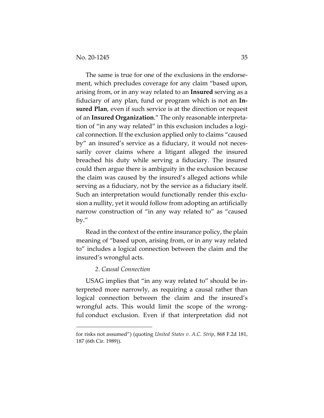The same is true for one of the exclusions in the endorsement, which precludes coverage for any claim "based upon, arising from, or in any way related to an **Insured** serving as a fiduciary of any plan, fund or program which is not an **Insured Plan**, even if such service is at the direction or request of an **Insured Organization**." The only reasonable interpretation of "in any way related" in this exclusion includes a logical connection. If the exclusion applied only to claims "caused by" an insured's service as a fiduciary, it would not necessarily cover claims where a litigant alleged the insured breached his duty while serving a fiduciary. The insured could then argue there is ambiguity in the exclusion because the claim was caused by the insured's alleged actions while serving as a fiduciary, not by the service as a fiduciary itself. Such an interpretation would functionally render this exclusion a nullity, yet it would follow from adopting an artificially narrow construction of "in any way related to" as "caused by."

Read in the context of the entire insurance policy, the plain meaning of "based upon, arising from, or in any way related to" includes a logical connection between the claim and the insured's wrongful acts.

#### *2. Causal Connection*

USAG implies that "in any way related to" should be interpreted more narrowly, as requiring a causal rather than logical connection between the claim and the insured's wrongful acts. This would limit the scope of the wrongful conduct exclusion. Even if that interpretation did not

for risks not assumed") (quoting *United States v. A.C. Strip*, 868 F.2d 181, 187 (6th Cir. 1989)).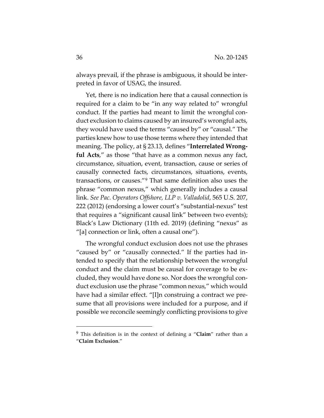always prevail, if the phrase is ambiguous, it should be interpreted in favor of USAG, the insured.

Yet, there is no indication here that a causal connection is required for a claim to be "in any way related to" wrongful conduct. If the parties had meant to limit the wrongful conduct exclusion to claims caused by an insured's wrongful acts, they would have used the terms "caused by" or "causal." The parties knew how to use those terms where they intended that meaning. The policy, at § 23.13, defines "**Interrelated Wrongful Acts**," as those "that have as a common nexus any fact, circumstance, situation, event, transaction, cause or series of causally connected facts, circumstances, situations, events, transactions, or causes."<sup>9</sup> That same definition also uses the phrase "common nexus," which generally includes a causal link. *See Pac. Operators Offshore, LLP v. Valladolid*, 565 U.S. 207, 222 (2012) (endorsing a lower court's "substantial-nexus" test that requires a "significant causal link" between two events); Black's Law Dictionary (11th ed. 2019) (defining "nexus" as "[a] connection or link, often a causal one").

The wrongful conduct exclusion does not use the phrases "caused by" or "causally connected." If the parties had intended to specify that the relationship between the wrongful conduct and the claim must be causal for coverage to be excluded, they would have done so. Nor does the wrongful conduct exclusion use the phrase "common nexus," which would have had a similar effect. "[I]n construing a contract we presume that all provisions were included for a purpose, and if possible we reconcile seemingly conflicting provisions to give

<sup>9</sup> This definition is in the context of defining a "**Claim**" rather than a "**Claim Exclusion**."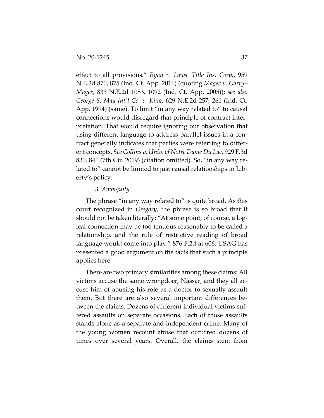effect to all provisions." *Ryan v. Laws. Title Ins. Corp.*, 959 N.E.2d 870, 875 (Ind. Ct. App. 2011) (quoting *Magee v. Garry– Magee*, 833 N.E.2d 1083, 1092 (Ind. Ct. App. 2005)); *see also George S. May Int'l Co. v. King*, 629 N.E.2d 257, 261 (Ind. Ct. App. 1994) (same). To limit "in any way related to" to causal connections would disregard that principle of contract interpretation. That would require ignoring our observation that using different language to address parallel issues in a contract generally indicates that parties were referring to different concepts. *See Collins v. Univ. of Notre Dame Du Lac*, 929 F.3d 830, 841 (7th Cir. 2019) (citation omitted). So, "in any way related to" cannot be limited to just causal relationships in Liberty's policy.

#### *3. Ambiguity*

The phrase "in any way related to" is quite broad. As this court recognized in *Gregory*, the phrase is so broad that it should not be taken literally: "At some point, of course, a logical connection may be too tenuous reasonably to be called a relationship, and the rule of restrictive reading of broad language would come into play." 876 F.2d at 606. USAG has presented a good argument on the facts that such a principle applies here.

There are two primary similarities among these claims: All victims accuse the same wrongdoer, Nassar, and they all accuse him of abusing his role as a doctor to sexually assault them. But there are also several important differences between the claims. Dozens of different individual victims suffered assaults on separate occasions. Each of those assaults stands alone as a separate and independent crime. Many of the young women recount abuse that occurred dozens of times over several years. Overall, the claims stem from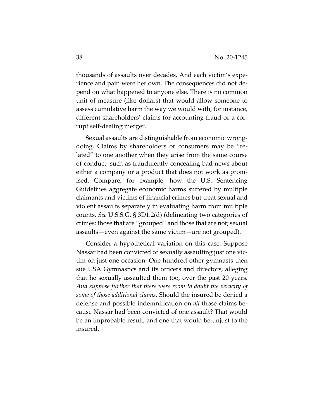thousands of assaults over decades. And each victim's experience and pain were her own. The consequences did not depend on what happened to anyone else. There is no common unit of measure (like dollars) that would allow someone to assess cumulative harm the way we would with, for instance, different shareholders' claims for accounting fraud or a corrupt self-dealing merger.

Sexual assaults are distinguishable from economic wrongdoing. Claims by shareholders or consumers may be "related" to one another when they arise from the same course of conduct, such as fraudulently concealing bad news about either a company or a product that does not work as promised. Compare, for example, how the U.S. Sentencing Guidelines aggregate economic harms suffered by multiple claimants and victims of financial crimes but treat sexual and violent assaults separately in evaluating harm from multiple counts. *See* U.S.S.G. § 3D1.2(d) (delineating two categories of crimes: those that are "grouped" and those that are not; sexual assaults—even against the same victim—are not grouped).

Consider a hypothetical variation on this case. Suppose Nassar had been convicted of sexually assaulting just one victim on just one occasion. One hundred other gymnasts then sue USA Gymnastics and its officers and directors, alleging that he sexually assaulted them too, over the past 20 years. *And suppose further that there were room to doubt the veracity of some of those additional claims.* Should the insured be denied a defense and possible indemnification on *all* those claims because Nassar had been convicted of one assault? That would be an improbable result, and one that would be unjust to the insured.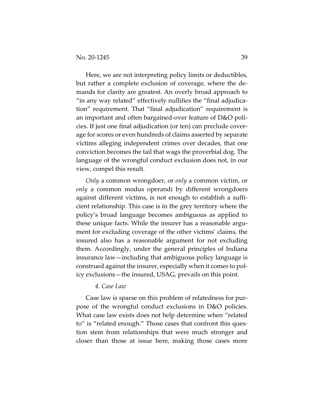Here, we are not interpreting policy limits or deductibles, but rather a complete exclusion of coverage, where the demands for clarity are greatest. An overly broad approach to "in any way related" effectively nullifies the "final adjudication" requirement. That "final adjudication" requirement is an important and often bargained-over feature of D&O policies. If just one final adjudication (or ten) can preclude coverage for scores or even hundreds of claims asserted by separate victims alleging independent crimes over decades, that one conviction becomes the tail that wags the proverbial dog. The language of the wrongful conduct exclusion does not, in our view, compel this result.

*Only* a common wrongdoer, or *only* a common victim, or *only* a common modus operandi by different wrongdoers against different victims, is not enough to establish a sufficient relationship. This case is in the grey territory where the policy's broad language becomes ambiguous as applied to these unique facts. While the insurer has a reasonable argument for excluding coverage of the other victims' claims, the insured also has a reasonable argument for not excluding them. Accordingly, under the general principles of Indiana insurance law—including that ambiguous policy language is construed against the insurer, especially when it comes to policy exclusions—the insured, USAG, prevails on this point.

#### *4. Case Law*

Case law is sparse on this problem of relatedness for purpose of the wrongful conduct exclusions in D&O policies. What case law exists does not help determine when "related to" is "related enough." Those cases that confront this question stem from relationships that were much stronger and closer than those at issue here, making those cases more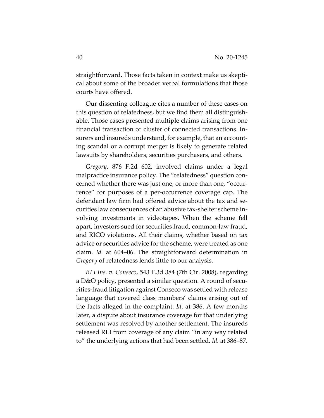straightforward. Those facts taken in context make us skeptical about some of the broader verbal formulations that those courts have offered.

Our dissenting colleague cites a number of these cases on this question of relatedness, but we find them all distinguishable. Those cases presented multiple claims arising from one financial transaction or cluster of connected transactions. Insurers and insureds understand, for example, that an accounting scandal or a corrupt merger is likely to generate related lawsuits by shareholders, securities purchasers, and others.

*Gregory*, 876 F.2d 602, involved claims under a legal malpractice insurance policy. The "relatedness" question concerned whether there was just one, or more than one, "occurrence" for purposes of a per-occurrence coverage cap. The defendant law firm had offered advice about the tax and securities law consequences of an abusive tax-shelter scheme involving investments in videotapes. When the scheme fell apart, investors sued for securities fraud, common-law fraud, and RICO violations. All their claims, whether based on tax advice or securities advice for the scheme, were treated as one claim. *Id.* at 604–06. The straightforward determination in *Gregory* of relatedness lends little to our analysis.

*RLI Ins. v. Conseco*, 543 F.3d 384 (7th Cir. 2008), regarding a D&O policy, presented a similar question. A round of securities-fraud litigation against Conseco was settled with release language that covered class members' claims arising out of the facts alleged in the complaint. *Id*. at 386. A few months later, a dispute about insurance coverage for that underlying settlement was resolved by another settlement. The insureds released RLI from coverage of any claim "in any way related to" the underlying actions that had been settled. *Id.* at 386–87.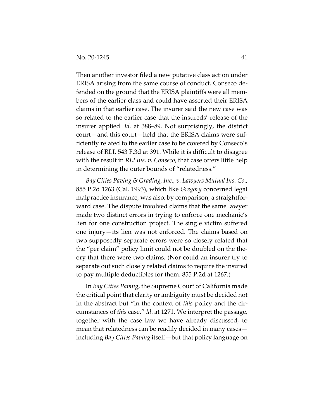Then another investor filed a new putative class action under ERISA arising from the same course of conduct. Conseco defended on the ground that the ERISA plaintiffs were all members of the earlier class and could have asserted their ERISA claims in that earlier case. The insurer said the new case was so related to the earlier case that the insureds' release of the insurer applied. *Id.* at 388–89. Not surprisingly, the district court—and this court—held that the ERISA claims were sufficiently related to the earlier case to be covered by Conseco's release of RLI. 543 F.3d at 391. While it is difficult to disagree with the result in *RLI Ins. v. Conseco*, that case offers little help in determining the outer bounds of "relatedness."

*Bay Cities Paving & Grading, Inc., v. Lawyers Mutual Ins. Co*., 855 P.2d 1263 (Cal. 1993), which like *Gregory* concerned legal malpractice insurance, was also, by comparison, a straightforward case. The dispute involved claims that the same lawyer made two distinct errors in trying to enforce one mechanic's lien for one construction project. The single victim suffered one injury—its lien was not enforced. The claims based on two supposedly separate errors were so closely related that the "per claim" policy limit could not be doubled on the theory that there were two claims. (Nor could an insurer try to separate out such closely related claims to require the insured to pay multiple deductibles for them. 855 P.2d at 1267.)

In *Bay Cities Paving*, the Supreme Court of California made the critical point that clarity or ambiguity must be decided not in the abstract but "in the context of *this* policy and the circumstances of *this* case." *Id*. at 1271. We interpret the passage, together with the case law we have already discussed, to mean that relatedness can be readily decided in many cases including *Bay Cities Paving* itself—but that policy language on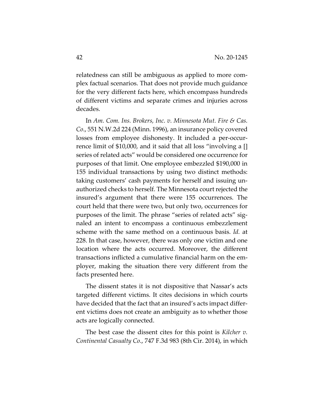relatedness can still be ambiguous as applied to more complex factual scenarios. That does not provide much guidance for the very different facts here, which encompass hundreds of different victims and separate crimes and injuries across decades.

In *Am. Com. Ins. Brokers, Inc. v. Minnesota Mut. Fire & Cas. Co*., 551 N.W.2d 224 (Minn. 1996), an insurance policy covered losses from employee dishonesty. It included a per-occurrence limit of \$10,000, and it said that all loss "involving a [] series of related acts" would be considered one occurrence for purposes of that limit. One employee embezzled \$190,000 in 155 individual transactions by using two distinct methods: taking customers' cash payments for herself and issuing unauthorized checks to herself. The Minnesota court rejected the insured's argument that there were 155 occurrences. The court held that there were two, but only two, occurrences for purposes of the limit. The phrase "series of related acts" signaled an intent to encompass a continuous embezzlement scheme with the same method on a continuous basis. *Id.* at 228. In that case, however, there was only one victim and one location where the acts occurred. Moreover, the different transactions inflicted a cumulative financial harm on the employer, making the situation there very different from the facts presented here.

The dissent states it is not dispositive that Nassar's acts targeted different victims. It cites decisions in which courts have decided that the fact that an insured's acts impact different victims does not create an ambiguity as to whether those acts are logically connected.

The best case the dissent cites for this point is *Kilcher v. Continental Casualty Co*., 747 F.3d 983 (8th Cir. 2014), in which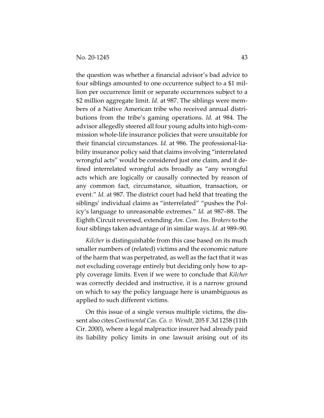the question was whether a financial advisor's bad advice to four siblings amounted to one occurrence subject to a \$1 million per occurrence limit or separate occurrences subject to a \$2 million aggregate limit. *Id.* at 987. The siblings were members of a Native American tribe who received annual distributions from the tribe's gaming operations. *Id.* at 984. The advisor allegedly steered all four young adults into high-commission whole-life insurance policies that were unsuitable for their financial circumstances. *Id.* at 986. The professional-liability insurance policy said that claims involving "interrelated wrongful acts" would be considered just one claim, and it defined interrelated wrongful acts broadly as "any wrongful acts which are logically or causally connected by reason of any common fact, circumstance, situation, transaction, or event." *Id.* at 987. The district court had held that treating the siblings' individual claims as "interrelated" "pushes the Policy's language to unreasonable extremes." *Id.* at 987–88. The Eighth Circuit reversed, extending *Am. Com. Ins. Brokers* to the four siblings taken advantage of in similar ways. *Id.* at 989–90.

*Kilcher* is distinguishable from this case based on its much smaller numbers of (related) victims and the economic nature of the harm that was perpetrated, as well as the fact that it was not excluding coverage entirely but deciding only how to apply coverage limits. Even if we were to conclude that *Kilcher*  was correctly decided and instructive, it is a narrow ground on which to say the policy language here is unambiguous as applied to such different victims.

On this issue of a single versus multiple victims, the dissent also cites *Continental Cas. Co. v. Wendt*, 205 F.3d 1258 (11th Cir. 2000), where a legal malpractice insurer had already paid its liability policy limits in one lawsuit arising out of its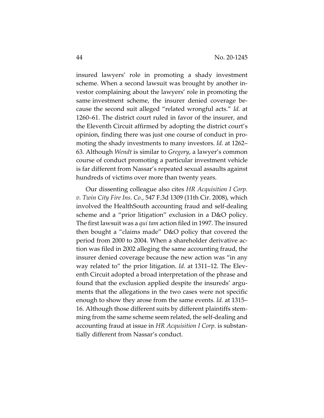insured lawyers' role in promoting a shady investment scheme. When a second lawsuit was brought by another investor complaining about the lawyers' role in promoting the same investment scheme, the insurer denied coverage because the second suit alleged "related wrongful acts." *Id.* at 1260–61. The district court ruled in favor of the insurer, and the Eleventh Circuit affirmed by adopting the district court's opinion, finding there was just one course of conduct in promoting the shady investments to many investors. *Id.* at 1262– 63. Although *Wendt* is similar to *Gregory*, a lawyer's common course of conduct promoting a particular investment vehicle is far different from Nassar's repeated sexual assaults against hundreds of victims over more than twenty years.

Our dissenting colleague also cites *HR Acquisition I Corp. v. Twin City Fire Ins. Co.*, 547 F.3d 1309 (11th Cir. 2008), which involved the HealthSouth accounting fraud and self-dealing scheme and a "prior litigation" exclusion in a D&O policy. The first lawsuit was a *qui tam* action filed in 1997. The insured then bought a "claims made" D&O policy that covered the period from 2000 to 2004. When a shareholder derivative action was filed in 2002 alleging the same accounting fraud, the insurer denied coverage because the new action was "in any way related to" the prior litigation. *Id.* at 1311–12. The Eleventh Circuit adopted a broad interpretation of the phrase and found that the exclusion applied despite the insureds' arguments that the allegations in the two cases were not specific enough to show they arose from the same events. *Id.* at 1315– 16. Although those different suits by different plaintiffs stemming from the same scheme seem related, the self-dealing and accounting fraud at issue in *HR Acquisition I Corp.* is substantially different from Nassar's conduct.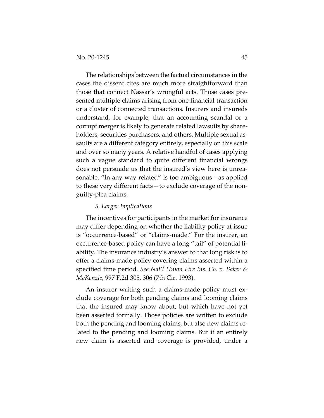The relationships between the factual circumstances in the cases the dissent cites are much more straightforward than those that connect Nassar's wrongful acts. Those cases presented multiple claims arising from one financial transaction or a cluster of connected transactions. Insurers and insureds understand, for example, that an accounting scandal or a corrupt merger is likely to generate related lawsuits by shareholders, securities purchasers, and others. Multiple sexual assaults are a different category entirely, especially on this scale and over so many years. A relative handful of cases applying such a vague standard to quite different financial wrongs does not persuade us that the insured's view here is unreasonable. "In any way related" is too ambiguous—as applied to these very different facts—to exclude coverage of the nonguilty-plea claims.

#### *5. Larger Implications*

The incentives for participants in the market for insurance may differ depending on whether the liability policy at issue is "occurrence-based" or "claims-made." For the insurer, an occurrence-based policy can have a long "tail" of potential liability. The insurance industry's answer to that long risk is to offer a claims-made policy covering claims asserted within a specified time period. *See Nat'l Union Fire Ins. Co. v. Baker & McKenzie*, 997 F.2d 305, 306 (7th Cir. 1993).

An insurer writing such a claims-made policy must exclude coverage for both pending claims and looming claims that the insured may know about, but which have not yet been asserted formally. Those policies are written to exclude both the pending and looming claims, but also new claims related to the pending and looming claims. But if an entirely new claim is asserted and coverage is provided, under a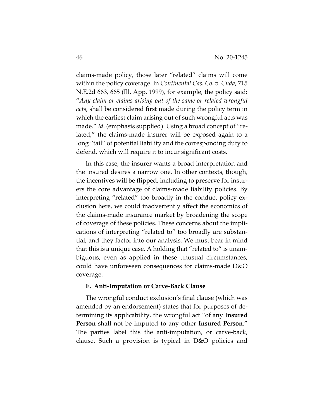claims-made policy, those later "related" claims will come within the policy coverage. In *Continental Cas. Co. v. Cuda*, 715 N.E.2d 663, 665 (Ill. App. 1999), for example, the policy said: "*Any claim or claims arising out of the same or related wrongful acts*, shall be considered first made during the policy term in which the earliest claim arising out of such wrongful acts was made." *Id*. (emphasis supplied). Using a broad concept of "related," the claims-made insurer will be exposed again to a long "tail" of potential liability and the corresponding duty to defend, which will require it to incur significant costs.

In this case, the insurer wants a broad interpretation and the insured desires a narrow one. In other contexts, though, the incentives will be flipped, including to preserve for insurers the core advantage of claims-made liability policies. By interpreting "related" too broadly in the conduct policy exclusion here, we could inadvertently affect the economics of the claims-made insurance market by broadening the scope of coverage of these policies. These concerns about the implications of interpreting "related to" too broadly are substantial, and they factor into our analysis. We must bear in mind that this is a unique case. A holding that "related to" is unambiguous, even as applied in these unusual circumstances, could have unforeseen consequences for claims-made D&O coverage.

#### **E. Anti-Imputation or Carve-Back Clause**

The wrongful conduct exclusion's final clause (which was amended by an endorsement) states that for purposes of determining its applicability, the wrongful act "of any **Insured Person** shall not be imputed to any other **Insured Person**." The parties label this the anti-imputation, or carve-back, clause. Such a provision is typical in D&O policies and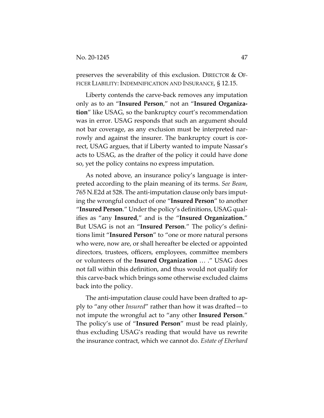preserves the severability of this exclusion. DIRECTOR & OF-FICER LIABILITY: INDEMNIFICATION AND INSURANCE, § 12.15.

Liberty contends the carve-back removes any imputation only as to an "**Insured Person**," not an "**Insured Organization**" like USAG, so the bankruptcy court's recommendation was in error. USAG responds that such an argument should not bar coverage, as any exclusion must be interpreted narrowly and against the insurer. The bankruptcy court is correct, USAG argues, that if Liberty wanted to impute Nassar's acts to USAG, as the drafter of the policy it could have done so, yet the policy contains no express imputation.

As noted above, an insurance policy's language is interpreted according to the plain meaning of its terms. *See Beam*, 765 N.E2d at 528. The anti-imputation clause only bars imputing the wrongful conduct of one "**Insured Person**" to another "**Insured Person**." Under the policy's definitions, USAG qualifies as "any **Insured**," and is the "**Insured Organization.**" But USAG is not an "**Insured Person**." The policy's definitions limit "**Insured Person**" to "one or more natural persons who were, now are, or shall hereafter be elected or appointed directors, trustees, officers, employees, committee members or volunteers of the **Insured Organization** … ." USAG does not fall within this definition, and thus would not qualify for this carve-back which brings some otherwise excluded claims back into the policy.

The anti-imputation clause could have been drafted to apply to "any other *Insured*" rather than how it was drafted—to not impute the wrongful act to "any other **Insured Person**." The policy's use of "**Insured Person**" must be read plainly, thus excluding USAG's reading that would have us rewrite the insurance contract, which we cannot do. *Estate of Eberhard*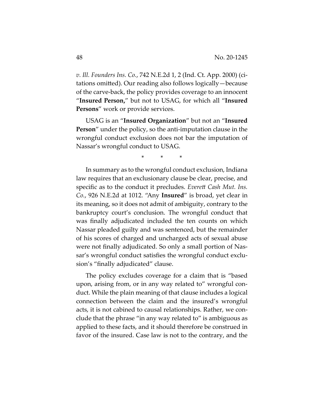*v. Ill. Founders Ins. Co.*, 742 N.E.2d 1, 2 (Ind. Ct. App. 2000) (citations omitted). Our reading also follows logically—because of the carve-back, the policy provides coverage to an innocent "**Insured Person,**" but not to USAG, for which all "**Insured Persons**" work or provide services.

USAG is an "**Insured Organization**" but not an "**Insured Person**" under the policy, so the anti-imputation clause in the wrongful conduct exclusion does not bar the imputation of Nassar's wrongful conduct to USAG.

\* \* \*

In summary as to the wrongful conduct exclusion, Indiana law requires that an exclusionary clause be clear, precise, and specific as to the conduct it precludes. *Everett Cash Mut. Ins. Co.*, 926 N.E.2d at 1012. "Any **Insured**" is broad, yet clear in its meaning, so it does not admit of ambiguity, contrary to the bankruptcy court's conclusion. The wrongful conduct that was finally adjudicated included the ten counts on which Nassar pleaded guilty and was sentenced, but the remainder of his scores of charged and uncharged acts of sexual abuse were not finally adjudicated. So only a small portion of Nassar's wrongful conduct satisfies the wrongful conduct exclusion's "finally adjudicated" clause.

The policy excludes coverage for a claim that is "based upon, arising from, or in any way related to" wrongful conduct. While the plain meaning of that clause includes a logical connection between the claim and the insured's wrongful acts, it is not cabined to causal relationships. Rather, we conclude that the phrase "in any way related to" is ambiguous as applied to these facts, and it should therefore be construed in favor of the insured. Case law is not to the contrary, and the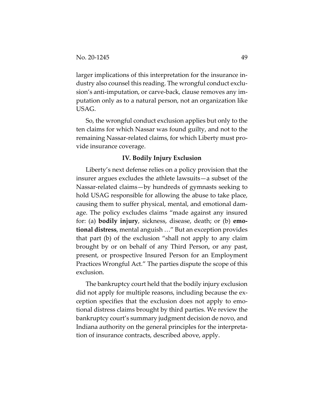larger implications of this interpretation for the insurance industry also counsel this reading. The wrongful conduct exclusion's anti-imputation, or carve-back, clause removes any imputation only as to a natural person, not an organization like USAG.

So, the wrongful conduct exclusion applies but only to the ten claims for which Nassar was found guilty, and not to the remaining Nassar-related claims, for which Liberty must provide insurance coverage.

#### **IV. Bodily Injury Exclusion**

Liberty's next defense relies on a policy provision that the insurer argues excludes the athlete lawsuits—a subset of the Nassar-related claims—by hundreds of gymnasts seeking to hold USAG responsible for allowing the abuse to take place, causing them to suffer physical, mental, and emotional damage. The policy excludes claims "made against any insured for: (a) **bodily injury**, sickness, disease, death; or (b) **emotional distress**, mental anguish …" But an exception provides that part (b) of the exclusion "shall not apply to any claim brought by or on behalf of any Third Person, or any past, present, or prospective Insured Person for an Employment Practices Wrongful Act." The parties dispute the scope of this exclusion.

The bankruptcy court held that the bodily injury exclusion did not apply for multiple reasons, including because the exception specifies that the exclusion does not apply to emotional distress claims brought by third parties. We review the bankruptcy court's summary judgment decision de novo, and Indiana authority on the general principles for the interpretation of insurance contracts, described above, apply.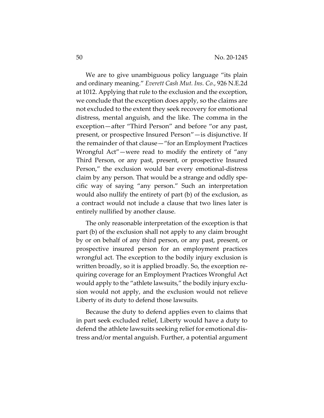We are to give unambiguous policy language "its plain and ordinary meaning." *Everett Cash Mut. Ins. Co.*, 926 N.E.2d at 1012. Applying that rule to the exclusion and the exception, we conclude that the exception does apply, so the claims are not excluded to the extent they seek recovery for emotional distress, mental anguish, and the like. The comma in the exception—after "Third Person" and before "or any past, present, or prospective Insured Person"—is disjunctive. If the remainder of that clause—"for an Employment Practices Wrongful Act"—were read to modify the entirety of "any Third Person, or any past, present, or prospective Insured Person," the exclusion would bar every emotional-distress claim by any person. That would be a strange and oddly specific way of saying "any person." Such an interpretation would also nullify the entirety of part (b) of the exclusion, as a contract would not include a clause that two lines later is entirely nullified by another clause.

The only reasonable interpretation of the exception is that part (b) of the exclusion shall not apply to any claim brought by or on behalf of any third person, or any past, present, or prospective insured person for an employment practices wrongful act. The exception to the bodily injury exclusion is written broadly, so it is applied broadly. So, the exception requiring coverage for an Employment Practices Wrongful Act would apply to the "athlete lawsuits," the bodily injury exclusion would not apply, and the exclusion would not relieve Liberty of its duty to defend those lawsuits.

Because the duty to defend applies even to claims that in part seek excluded relief, Liberty would have a duty to defend the athlete lawsuits seeking relief for emotional distress and/or mental anguish. Further, a potential argument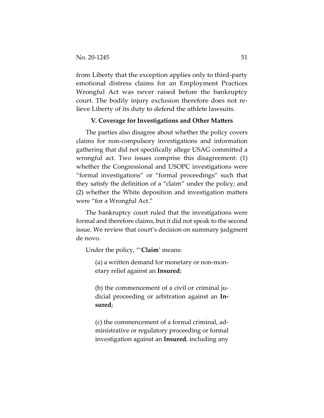from Liberty that the exception applies only to third-party emotional distress claims for an Employment Practices Wrongful Act was never raised before the bankruptcy court. The bodily injury exclusion therefore does not relieve Liberty of its duty to defend the athlete lawsuits.

#### **V. Coverage for Investigations and Other Matters**

The parties also disagree about whether the policy covers claims for non-compulsory investigations and information gathering that did not specifically allege USAG committed a wrongful act. Two issues comprise this disagreement: (1) whether the Congressional and USOPC investigations were "formal investigations" or "formal proceedings" such that they satisfy the definition of a "claim" under the policy; and (2) whether the White deposition and investigation matters were "for a Wrongful Act."

The bankruptcy court ruled that the investigations were formal and therefore claims, but it did not speak to the second issue. We review that court's decision on summary judgment de novo.

Under the policy, "'**Claim**' means:

(a) a written demand for monetary or non-monetary relief against an **Insured**;

(b) the commencement of a civil or criminal judicial proceeding or arbitration against an **Insured**;

(c) the commencement of a formal criminal, administrative or regulatory proceeding or formal investigation against an **Insured**, including any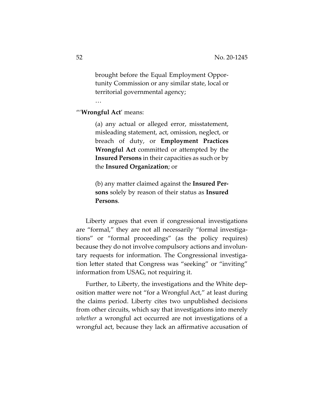brought before the Equal Employment Opportunity Commission or any similar state, local or territorial governmental agency;

"'**Wrongful Act**' means:

…

(a) any actual or alleged error, misstatement, misleading statement, act, omission, neglect, or breach of duty, or **Employment Practices Wrongful Act** committed or attempted by the **Insured Persons** in their capacities as such or by the **Insured Organization**; or

(b) any matter claimed against the **Insured Persons** solely by reason of their status as **Insured Persons**.

Liberty argues that even if congressional investigations are "formal," they are not all necessarily "formal investigations" or "formal proceedings" (as the policy requires) because they do not involve compulsory actions and involuntary requests for information. The Congressional investigation letter stated that Congress was "seeking" or "inviting" information from USAG, not requiring it.

Further, to Liberty, the investigations and the White deposition matter were not "for a Wrongful Act," at least during the claims period. Liberty cites two unpublished decisions from other circuits, which say that investigations into merely *whether* a wrongful act occurred are not investigations of a wrongful act, because they lack an affirmative accusation of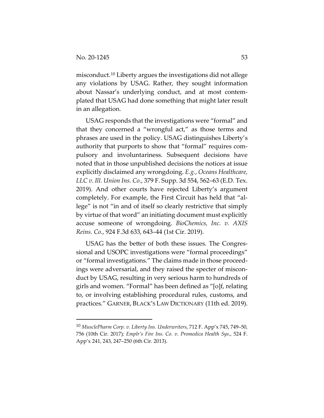misconduct.10 Liberty argues the investigations did not allege any violations by USAG. Rather, they sought information about Nassar's underlying conduct, and at most contemplated that USAG had done something that might later result in an allegation.

USAG responds that the investigations were "formal" and that they concerned a "wrongful act," as those terms and phrases are used in the policy. USAG distinguishes Liberty's authority that purports to show that "formal" requires compulsory and involuntariness. Subsequent decisions have noted that in those unpublished decisions the notices at issue explicitly disclaimed any wrongdoing. *E.g.*, *Oceans Healthcare, LLC v. Ill. Union Ins. Co.*, 379 F. Supp. 3d 554, 562–63 (E.D. Tex. 2019). And other courts have rejected Liberty's argument completely. For example, the First Circuit has held that "allege" is not "in and of itself so clearly restrictive that simply by virtue of that word" an initiating document must explicitly accuse someone of wrongdoing. *BioChemics, Inc. v. AXIS Reins. Co.*, 924 F.3d 633, 643–44 (1st Cir. 2019).

USAG has the better of both these issues. The Congressional and USOPC investigations were "formal proceedings" or "formal investigations." The claims made in those proceedings were adversarial, and they raised the specter of misconduct by USAG, resulting in very serious harm to hundreds of girls and women. "Formal" has been defined as "[o]f, relating to, or involving establishing procedural rules, customs, and practices." GARNER, BLACK'S LAW DICTIONARY (11th ed. 2019).

<sup>10</sup> *MusclePharm Corp. v. Liberty Ins. Underwriters*, 712 F. App'x 745, 749–50, 756 (10th Cir. 2017)*; Emplr's Fire Ins. Co. v. Promedica Health Sys*., 524 F. App'x 241, 243, 247–250 (6th Cir. 2013).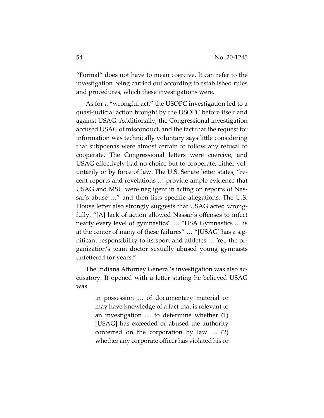"Formal" does not have to mean coercive. It can refer to the investigation being carried out according to established rules and procedures, which these investigations were.

As for a "wrongful act," the USOPC investigation led to a quasi-judicial action brought by the USOPC before itself and against USAG. Additionally, the Congressional investigation accused USAG of misconduct, and the fact that the request for information was technically voluntary says little considering that subpoenas were almost certain to follow any refusal to cooperate. The Congressional letters were coercive, and USAG effectively had no choice but to cooperate, either voluntarily or by force of law. The U.S. Senate letter states, "recent reports and revelations … provide ample evidence that USAG and MSU were negligent in acting on reports of Nassar's abuse …" and then lists specific allegations. The U.S. House letter also strongly suggests that USAG acted wrongfully. "[A] lack of action allowed Nassar's offenses to infect nearly every level of gymnastics" … "USA Gymnastics … is at the center of many of these failures" … "[USAG] has a significant responsibility to its sport and athletes … Yet, the organization's team doctor sexually abused young gymnasts unfettered for years."

The Indiana Attorney General's investigation was also accusatory. It opened with a letter stating he believed USAG was

> in possession … of documentary material or may have knowledge of a fact that is relevant to an investigation … to determine whether (1) [USAG] has exceeded or abused the authority conferred on the corporation by law … (2) whether any corporate officer has violated his or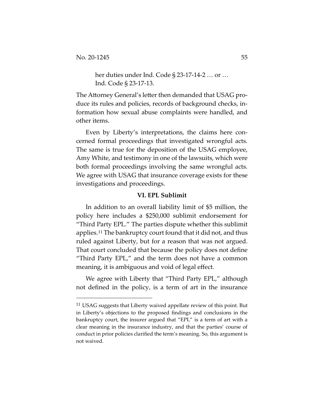her duties under Ind. Code § 23-17-14-2 … or … Ind. Code § 23-17-13.

The Attorney General's letter then demanded that USAG produce its rules and policies, records of background checks, information how sexual abuse complaints were handled, and other items.

Even by Liberty's interpretations, the claims here concerned formal proceedings that investigated wrongful acts. The same is true for the deposition of the USAG employee, Amy White, and testimony in one of the lawsuits, which were both formal proceedings involving the same wrongful acts. We agree with USAG that insurance coverage exists for these investigations and proceedings.

## **VI. EPL Sublimit**

In addition to an overall liability limit of \$5 million, the policy here includes a \$250,000 sublimit endorsement for "Third Party EPL." The parties dispute whether this sublimit applies.11 The bankruptcy court found that it did not, and thus ruled against Liberty, but for a reason that was not argued. That court concluded that because the policy does not define "Third Party EPL," and the term does not have a common meaning, it is ambiguous and void of legal effect.

We agree with Liberty that "Third Party EPL," although not defined in the policy, is a term of art in the insurance

<sup>&</sup>lt;sup>11</sup> USAG suggests that Liberty waived appellate review of this point. But in Liberty's objections to the proposed findings and conclusions in the bankruptcy court, the insurer argued that "EPL" is a term of art with a clear meaning in the insurance industry, and that the parties' course of conduct in prior policies clarified the term's meaning. So, this argument is not waived.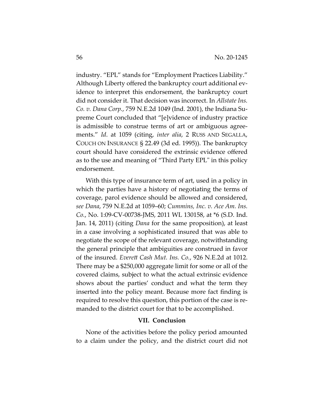industry. "EPL" stands for "Employment Practices Liability." Although Liberty offered the bankruptcy court additional evidence to interpret this endorsement, the bankruptcy court did not consider it. That decision was incorrect. In *Allstate Ins. Co. v. Dana Corp.*, 759 N.E.2d 1049 (Ind. 2001), the Indiana Supreme Court concluded that "[e]vidence of industry practice is admissible to construe terms of art or ambiguous agreements." *Id*. at 1059 (citing, *inter alia*, 2 RUSS AND SEGALLA, COUCH ON INSURANCE § 22.49 (3d ed. 1995)). The bankruptcy court should have considered the extrinsic evidence offered as to the use and meaning of "Third Party EPL" in this policy endorsement.

With this type of insurance term of art, used in a policy in which the parties have a history of negotiating the terms of coverage, parol evidence should be allowed and considered, *see Dana*, 759 N.E.2d at 1059–60; *Cummins, Inc. v. Ace Am. Ins. Co.*, No. 1:09-CV-00738-JMS, 2011 WL 130158, at \*6 (S.D. Ind. Jan. 14, 2011) (citing *Dana* for the same proposition), at least in a case involving a sophisticated insured that was able to negotiate the scope of the relevant coverage, notwithstanding the general principle that ambiguities are construed in favor of the insured. *Everett Cash Mut. Ins. Co.*, 926 N.E.2d at 1012. There may be a \$250,000 aggregate limit for some or all of the covered claims, subject to what the actual extrinsic evidence shows about the parties' conduct and what the term they inserted into the policy meant. Because more fact finding is required to resolve this question, this portion of the case is remanded to the district court for that to be accomplished.

#### **VII. Conclusion**

None of the activities before the policy period amounted to a claim under the policy, and the district court did not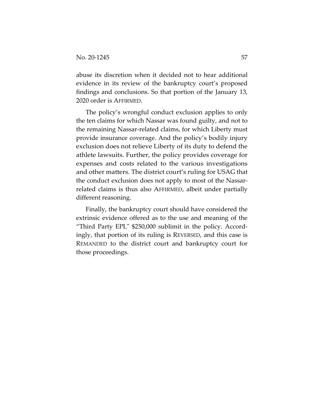abuse its discretion when it decided not to hear additional evidence in its review of the bankruptcy court's proposed findings and conclusions. So that portion of the January 13, 2020 order is AFFIRMED.

The policy's wrongful conduct exclusion applies to only the ten claims for which Nassar was found guilty, and not to the remaining Nassar-related claims, for which Liberty must provide insurance coverage. And the policy's bodily injury exclusion does not relieve Liberty of its duty to defend the athlete lawsuits. Further, the policy provides coverage for expenses and costs related to the various investigations and other matters. The district court's ruling for USAG that the conduct exclusion does not apply to most of the Nassarrelated claims is thus also AFFIRMED, albeit under partially different reasoning.

Finally, the bankruptcy court should have considered the extrinsic evidence offered as to the use and meaning of the "Third Party EPL" \$250,000 sublimit in the policy. Accordingly, that portion of its ruling is REVERSED, and this case is REMANDED to the district court and bankruptcy court for those proceedings.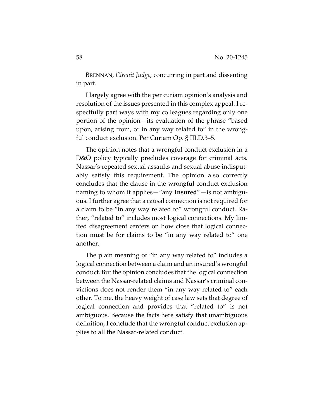BRENNAN, *Circuit Judge*, concurring in part and dissenting in part.

I largely agree with the per curiam opinion's analysis and resolution of the issues presented in this complex appeal. I respectfully part ways with my colleagues regarding only one portion of the opinion—its evaluation of the phrase "based upon, arising from, or in any way related to" in the wrongful conduct exclusion. Per Curiam Op. § III.D.3–5.

The opinion notes that a wrongful conduct exclusion in a D&O policy typically precludes coverage for criminal acts. Nassar's repeated sexual assaults and sexual abuse indisputably satisfy this requirement. The opinion also correctly concludes that the clause in the wrongful conduct exclusion naming to whom it applies—"any **Insured**"—is not ambiguous. I further agree that a causal connection is not required for a claim to be "in any way related to" wrongful conduct. Rather, "related to" includes most logical connections. My limited disagreement centers on how close that logical connection must be for claims to be "in any way related to" one another.

The plain meaning of "in any way related to" includes a logical connection between a claim and an insured's wrongful conduct. But the opinion concludes that the logical connection between the Nassar-related claims and Nassar's criminal convictions does not render them "in any way related to" each other. To me, the heavy weight of case law sets that degree of logical connection and provides that "related to" is not ambiguous. Because the facts here satisfy that unambiguous definition, I conclude that the wrongful conduct exclusion applies to all the Nassar-related conduct.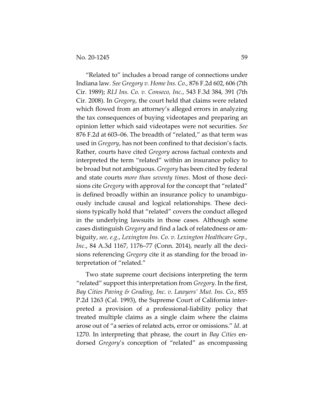"Related to" includes a broad range of connections under Indiana law. *See Gregory v. Home Ins. Co.*, 876 F.2d 602, 606 (7th Cir. 1989); *RLI Ins. Co. v. Conseco, Inc.*, 543 F.3d 384, 391 (7th Cir. 2008). In *Gregory*, the court held that claims were related which flowed from an attorney's alleged errors in analyzing the tax consequences of buying videotapes and preparing an opinion letter which said videotapes were not securities. *See* 876 F.2d at 603–06. The breadth of "related," as that term was used in *Gregory*, has not been confined to that decision's facts. Rather, courts have cited *Gregory* across factual contexts and interpreted the term "related" within an insurance policy to be broad but not ambiguous. *Gregory* has been cited by federal and state courts *more than seventy times*. Most of those decisions cite *Gregory* with approval for the concept that "related" is defined broadly within an insurance policy to unambiguously include causal and logical relationships. These decisions typically hold that "related" covers the conduct alleged in the underlying lawsuits in those cases. Although some cases distinguish *Gregory* and find a lack of relatedness or ambiguity, *see, e.g.*, *Lexington Ins. Co. v. Lexington Healthcare Grp., Inc.*, 84 A.3d 1167, 1176–77 (Conn. 2014), nearly all the decisions referencing *Gregory* cite it as standing for the broad interpretation of "related."

Two state supreme court decisions interpreting the term "related" support this interpretation from *Gregory*. In the first, *Bay Cities Paving & Grading, Inc. v. Lawyers' Mut. Ins. Co.*, 855 P.2d 1263 (Cal. 1993), the Supreme Court of California interpreted a provision of a professional-liability policy that treated multiple claims as a single claim where the claims arose out of "a series of related acts, error or omissions." *Id*. at 1270. In interpreting that phrase, the court in *Bay Cities* endorsed *Gregory*'s conception of "related" as encompassing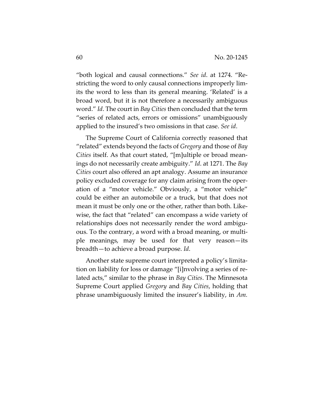"both logical and causal connections." *See id*. at 1274. "Restricting the word to only causal connections improperly limits the word to less than its general meaning. 'Related' is a broad word, but it is not therefore a necessarily ambiguous word." *Id*. The court in *Bay Cities* then concluded that the term "series of related acts, errors or omissions" unambiguously applied to the insured's two omissions in that case. *See id*.

The Supreme Court of California correctly reasoned that "related" extends beyond the facts of *Gregory* and those of *Bay Cities* itself. As that court stated, "[m]ultiple or broad meanings do not necessarily create ambiguity." *Id*. at 1271. The *Bay Cities* court also offered an apt analogy. Assume an insurance policy excluded coverage for any claim arising from the operation of a "motor vehicle." Obviously, a "motor vehicle" could be either an automobile or a truck, but that does not mean it must be only one or the other, rather than both. Likewise, the fact that "related" can encompass a wide variety of relationships does not necessarily render the word ambiguous. To the contrary, a word with a broad meaning, or multiple meanings, may be used for that very reason—its breadth—to achieve a broad purpose. *Id*.

Another state supreme court interpreted a policy's limitation on liability for loss or damage "[i]nvolving a series of related acts," similar to the phrase in *Bay Cities*. The Minnesota Supreme Court applied *Gregory* and *Bay Cities*, holding that phrase unambiguously limited the insurer's liability, in *Am.*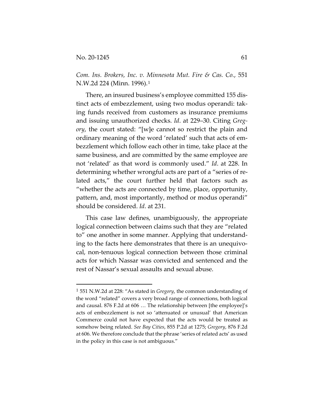*Com. Ins. Brokers, Inc. v. Minnesota Mut. Fire & Cas. Co.*, 551 N.W.2d 224 (Minn. 1996).1

There, an insured business's employee committed 155 distinct acts of embezzlement, using two modus operandi: taking funds received from customers as insurance premiums and issuing unauthorized checks. *Id*. at 229–30. Citing *Gregory*, the court stated: "[w]e cannot so restrict the plain and ordinary meaning of the word 'related' such that acts of embezzlement which follow each other in time, take place at the same business, and are committed by the same employee are not 'related' as that word is commonly used." *Id*. at 228. In determining whether wrongful acts are part of a "series of related acts," the court further held that factors such as "whether the acts are connected by time, place, opportunity, pattern, and, most importantly, method or modus operandi" should be considered. *Id*. at 231.

This case law defines, unambiguously, the appropriate logical connection between claims such that they are "related to" one another in some manner. Applying that understanding to the facts here demonstrates that there is an unequivocal, non-tenuous logical connection between those criminal acts for which Nassar was convicted and sentenced and the rest of Nassar's sexual assaults and sexual abuse.

<sup>1</sup> 551 N.W.2d at 228: "As stated in *Gregory*, the common understanding of the word "related" covers a very broad range of connections, both logical and causal. 876 F.2d at 606 … The relationship between [the employee]'s acts of embezzlement is not so 'attenuated or unusual' that American Commerce could not have expected that the acts would be treated as somehow being related. *See Bay Cities*, 855 P.2d at 1275; *Gregory*, 876 F.2d at 606. We therefore conclude that the phrase 'series of related acts' as used in the policy in this case is not ambiguous."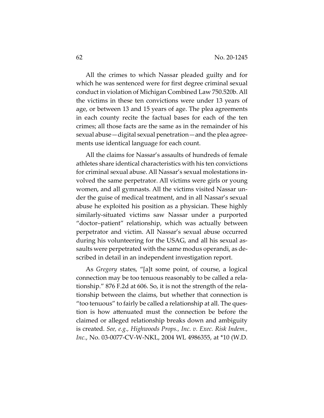All the crimes to which Nassar pleaded guilty and for which he was sentenced were for first degree criminal sexual conduct in violation of Michigan Combined Law 750.520b. All the victims in these ten convictions were under 13 years of age, or between 13 and 15 years of age. The plea agreements in each county recite the factual bases for each of the ten crimes; all those facts are the same as in the remainder of his sexual abuse—digital sexual penetration—and the plea agreements use identical language for each count.

All the claims for Nassar's assaults of hundreds of female athletes share identical characteristics with his ten convictions for criminal sexual abuse. All Nassar's sexual molestations involved the same perpetrator. All victims were girls or young women, and all gymnasts. All the victims visited Nassar under the guise of medical treatment, and in all Nassar's sexual abuse he exploited his position as a physician. These highly similarly-situated victims saw Nassar under a purported "doctor–patient" relationship, which was actually between perpetrator and victim. All Nassar's sexual abuse occurred during his volunteering for the USAG, and all his sexual assaults were perpetrated with the same modus operandi, as described in detail in an independent investigation report.

As *Gregory* states, "[a]t some point, of course, a logical connection may be too tenuous reasonably to be called a relationship." 876 F.2d at 606. So, it is not the strength of the relationship between the claims, but whether that connection is "too tenuous" to fairly be called a relationship at all. The question is how attenuated must the connection be before the claimed or alleged relationship breaks down and ambiguity is created. *See, e.g., Highwoods Props., Inc. v. Exec. Risk Indem., Inc.*, No. 03-0077-CV-W-NKL, 2004 WL 4986355, at \*10 (W.D.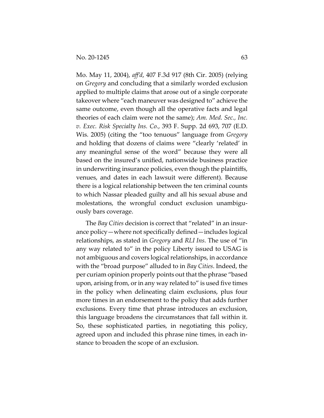Mo. May 11, 2004), *aff'd*, 407 F.3d 917 (8th Cir. 2005) (relying on *Gregory* and concluding that a similarly worded exclusion applied to multiple claims that arose out of a single corporate takeover where "each maneuver was designed to" achieve the same outcome, even though all the operative facts and legal theories of each claim were not the same); *Am. Med. Sec., Inc. v. Exec. Risk Specialty Ins. Co.*, 393 F. Supp. 2d 693, 707 (E.D. Wis. 2005) (citing the "too tenuous" language from *Gregory* and holding that dozens of claims were "clearly 'related' in any meaningful sense of the word" because they were all based on the insured's unified, nationwide business practice in underwriting insurance policies, even though the plaintiffs, venues, and dates in each lawsuit were different). Because there is a logical relationship between the ten criminal counts to which Nassar pleaded guilty and all his sexual abuse and molestations, the wrongful conduct exclusion unambiguously bars coverage.

The *Bay Cities* decision is correct that "related" in an insurance policy—where not specifically defined—includes logical relationships, as stated in *Gregory* and *RLI Ins.* The use of "in any way related to" in the policy Liberty issued to USAG is not ambiguous and covers logical relationships, in accordance with the "broad purpose" alluded to in *Bay Cities*. Indeed, the per curiam opinion properly points out that the phrase "based upon, arising from, or in any way related to" is used five times in the policy when delineating claim exclusions, plus four more times in an endorsement to the policy that adds further exclusions. Every time that phrase introduces an exclusion, this language broadens the circumstances that fall within it. So, these sophisticated parties, in negotiating this policy, agreed upon and included this phrase nine times, in each instance to broaden the scope of an exclusion.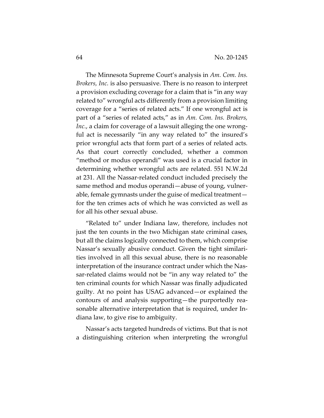The Minnesota Supreme Court's analysis in *Am. Com. Ins. Brokers, Inc.* is also persuasive. There is no reason to interpret a provision excluding coverage for a claim that is "in any way related to" wrongful acts differently from a provision limiting coverage for a "series of related acts." If one wrongful act is part of a "series of related acts," as in *Am. Com. Ins. Brokers, Inc.*, a claim for coverage of a lawsuit alleging the one wrongful act is necessarily "in any way related to" the insured's prior wrongful acts that form part of a series of related acts. As that court correctly concluded, whether a common "method or modus operandi" was used is a crucial factor in determining whether wrongful acts are related. 551 N.W.2d at 231. All the Nassar-related conduct included precisely the same method and modus operandi—abuse of young, vulnerable, female gymnasts under the guise of medical treatment for the ten crimes acts of which he was convicted as well as for all his other sexual abuse.

"Related to" under Indiana law, therefore, includes not just the ten counts in the two Michigan state criminal cases, but all the claims logically connected to them, which comprise Nassar's sexually abusive conduct. Given the tight similarities involved in all this sexual abuse, there is no reasonable interpretation of the insurance contract under which the Nassar-related claims would not be "in any way related to" the ten criminal counts for which Nassar was finally adjudicated guilty. At no point has USAG advanced—or explained the contours of and analysis supporting—the purportedly reasonable alternative interpretation that is required, under Indiana law, to give rise to ambiguity.

Nassar's acts targeted hundreds of victims. But that is not a distinguishing criterion when interpreting the wrongful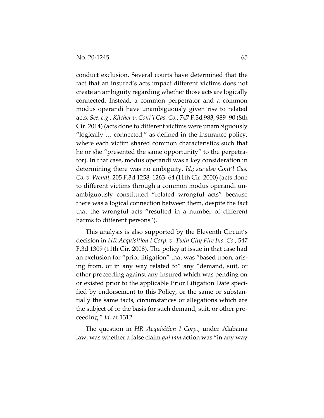conduct exclusion. Several courts have determined that the fact that an insured's acts impact different victims does not create an ambiguity regarding whether those acts are logically connected. Instead, a common perpetrator and a common modus operandi have unambiguously given rise to related acts. *See, e.g., Kilcher v. Cont'l Cas. Co.*, 747 F.3d 983, 989–90 (8th Cir. 2014) (acts done to different victims were unambiguously "logically … connected," as defined in the insurance policy, where each victim shared common characteristics such that he or she "presented the same opportunity" to the perpetrator). In that case, modus operandi was a key consideration in determining there was no ambiguity. *Id*.; *see also Cont'l Cas. Co. v. Wendt*, 205 F.3d 1258, 1263–64 (11th Cir. 2000) (acts done to different victims through a common modus operandi unambiguously constituted "related wrongful acts" because there was a logical connection between them, despite the fact that the wrongful acts "resulted in a number of different harms to different persons").

This analysis is also supported by the Eleventh Circuit's decision in *HR Acquisition I Corp. v. Twin City Fire Ins. Co.*, 547 F.3d 1309 (11th Cir. 2008). The policy at issue in that case had an exclusion for "prior litigation" that was "based upon, arising from, or in any way related to" any "demand, suit, or other proceeding against any Insured which was pending on or existed prior to the applicable Prior Litigation Date specified by endorsement to this Policy, or the same or substantially the same facts, circumstances or allegations which are the subject of or the basis for such demand, suit, or other proceeding." *Id.* at 1312.

The question in *HR Acquisition I Corp.*, under Alabama law, was whether a false claim *qui tam* action was "in any way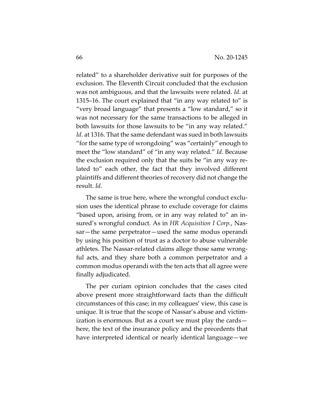related" to a shareholder derivative suit for purposes of the exclusion. The Eleventh Circuit concluded that the exclusion was not ambiguous, and that the lawsuits were related. *Id.* at 1315–16. The court explained that "in any way related to" is "very broad language" that presents a "low standard," so it was not necessary for the same transactions to be alleged in both lawsuits for those lawsuits to be "in any way related." *Id*. at 1316. That the same defendant was sued in both lawsuits "for the same type of wrongdoing" was "certainly" enough to meet the "low standard" of "in any way related." *Id*. Because the exclusion required only that the suits be "in any way related to" each other, the fact that they involved different plaintiffs and different theories of recovery did not change the result. *Id*.

The same is true here, where the wrongful conduct exclusion uses the identical phrase to exclude coverage for claims "based upon, arising from, or in any way related to" an insured's wrongful conduct. As in *HR Acquisition I Corp.*, Nassar—the same perpetrator—used the same modus operandi by using his position of trust as a doctor to abuse vulnerable athletes. The Nassar-related claims allege those same wrongful acts, and they share both a common perpetrator and a common modus operandi with the ten acts that all agree were finally adjudicated.

The per curiam opinion concludes that the cases cited above present more straightforward facts than the difficult circumstances of this case; in my colleagues' view, this case is unique. It is true that the scope of Nassar's abuse and victimization is enormous. But as a court we must play the cards here, the text of the insurance policy and the precedents that have interpreted identical or nearly identical language—we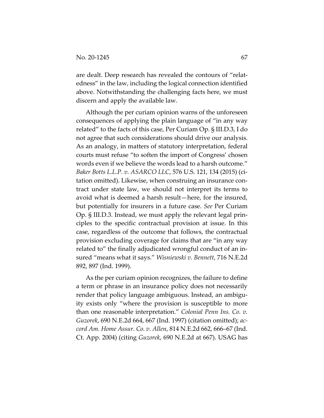are dealt. Deep research has revealed the contours of "relatedness" in the law, including the logical connection identified above. Notwithstanding the challenging facts here, we must discern and apply the available law.

Although the per curiam opinion warns of the unforeseen consequences of applying the plain language of "in any way related" to the facts of this case, Per Curiam Op. § III.D.3, I do not agree that such considerations should drive our analysis. As an analogy, in matters of statutory interpretation, federal courts must refuse "to soften the import of Congress' chosen words even if we believe the words lead to a harsh outcome." *Baker Botts L.L.P. v. ASARCO LLC*, 576 U.S. 121, 134 (2015) (citation omitted). Likewise, when construing an insurance contract under state law, we should not interpret its terms to avoid what is deemed a harsh result—here, for the insured, but potentially for insurers in a future case. *See* Per Curiam Op. § III.D.3. Instead, we must apply the relevant legal principles to the specific contractual provision at issue. In this case, regardless of the outcome that follows, the contractual provision excluding coverage for claims that are "in any way related to" the finally adjudicated wrongful conduct of an insured "means what it says." *Wisniewski v. Bennett*, 716 N.E.2d 892, 897 (Ind. 1999).

As the per curiam opinion recognizes, the failure to define a term or phrase in an insurance policy does not necessarily render that policy language ambiguous. Instead, an ambiguity exists only "where the provision is susceptible to more than one reasonable interpretation." *Colonial Penn Ins. Co. v. Guzorek*, 690 N.E.2d 664, 667 (Ind. 1997) (citation omitted); *accord Am. Home Assur. Co. v. Allen*, 814 N.E.2d 662, 666–67 (Ind. Ct. App. 2004) (citing *Guzorek*, 690 N.E.2d at 667). USAG has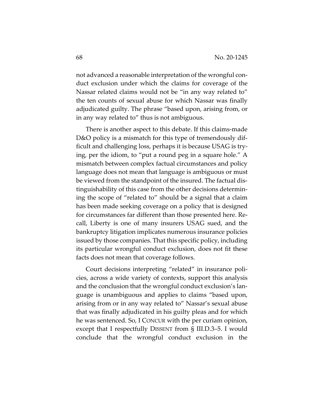not advanced a reasonable interpretation of the wrongful conduct exclusion under which the claims for coverage of the Nassar related claims would not be "in any way related to" the ten counts of sexual abuse for which Nassar was finally adjudicated guilty. The phrase "based upon, arising from, or in any way related to" thus is not ambiguous.

There is another aspect to this debate. If this claims-made D&O policy is a mismatch for this type of tremendously difficult and challenging loss, perhaps it is because USAG is trying, per the idiom, to "put a round peg in a square hole." A mismatch between complex factual circumstances and policy language does not mean that language is ambiguous or must be viewed from the standpoint of the insured. The factual distinguishability of this case from the other decisions determining the scope of "related to" should be a signal that a claim has been made seeking coverage on a policy that is designed for circumstances far different than those presented here. Recall, Liberty is one of many insurers USAG sued, and the bankruptcy litigation implicates numerous insurance policies issued by those companies. That this specific policy, including its particular wrongful conduct exclusion, does not fit these facts does not mean that coverage follows.

Court decisions interpreting "related" in insurance policies, across a wide variety of contexts, support this analysis and the conclusion that the wrongful conduct exclusion's language is unambiguous and applies to claims "based upon, arising from or in any way related to" Nassar's sexual abuse that was finally adjudicated in his guilty pleas and for which he was sentenced. So, I CONCUR with the per curiam opinion, except that I respectfully DISSENT from § III.D.3–5. I would conclude that the wrongful conduct exclusion in the